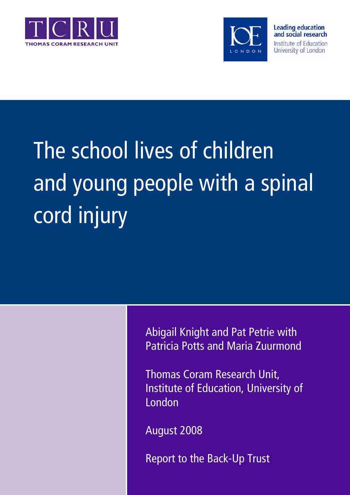



# The school lives of children and young people with a spinal cord injury

Abigail Knight and Pat Petrie with Patricia Potts and Maria Zuurmond

Thomas Coram Research Unit, Institute of Education, University of London

August 2008

Report to the Back-Up Trust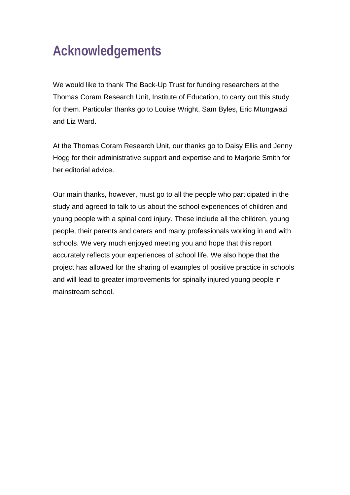# **Acknowledgements**

We would like to thank The Back-Up Trust for funding researchers at the Thomas Coram Research Unit, Institute of Education, to carry out this study for them. Particular thanks go to Louise Wright, Sam Byles, Eric Mtungwazi and Liz Ward.

At the Thomas Coram Research Unit, our thanks go to Daisy Ellis and Jenny Hogg for their administrative support and expertise and to Marjorie Smith for her editorial advice.

Our main thanks, however, must go to all the people who participated in the study and agreed to talk to us about the school experiences of children and young people with a spinal cord injury. These include all the children, young people, their parents and carers and many professionals working in and with schools. We very much enjoyed meeting you and hope that this report accurately reflects your experiences of school life. We also hope that the project has allowed for the sharing of examples of positive practice in schools and will lead to greater improvements for spinally injured young people in mainstream school.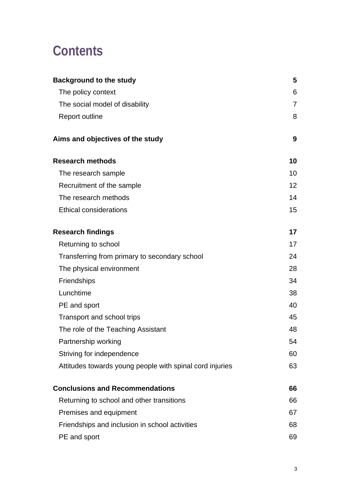# **Contents**

| <b>Background to the study</b>                           | 5               |
|----------------------------------------------------------|-----------------|
| The policy context                                       | 6               |
| The social model of disability                           | $\overline{7}$  |
| <b>Report outline</b>                                    | 8               |
| Aims and objectives of the study                         | 9               |
| <b>Research methods</b>                                  | 10              |
| The research sample                                      | 10              |
| Recruitment of the sample                                | 12 <sub>2</sub> |
| The research methods                                     | 14              |
| <b>Ethical considerations</b>                            | 15              |
| <b>Research findings</b>                                 | 17              |
| Returning to school                                      | 17              |
| Transferring from primary to secondary school            | 24              |
| The physical environment                                 | 28              |
| Friendships                                              | 34              |
| Lunchtime                                                | 38              |
| PE and sport                                             | 40              |
| Transport and school trips                               | 45              |
| The role of the Teaching Assistant                       | 48              |
| Partnership working                                      | 54              |
| Striving for independence                                | 60              |
| Attitudes towards young people with spinal cord injuries | 63              |
| <b>Conclusions and Recommendations</b>                   | 66              |
| Returning to school and other transitions                | 66              |
| Premises and equipment                                   | 67              |
| Friendships and inclusion in school activities           | 68              |
| PE and sport                                             | 69              |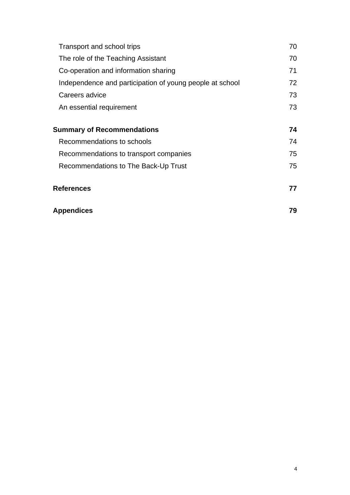| Transport and school trips                               | 70 |
|----------------------------------------------------------|----|
| The role of the Teaching Assistant                       | 70 |
| Co-operation and information sharing                     | 71 |
| Independence and participation of young people at school | 72 |
| Careers advice                                           | 73 |
| An essential requirement                                 | 73 |
|                                                          |    |
| <b>Summary of Recommendations</b>                        | 74 |
| Recommendations to schools                               | 74 |
| Recommendations to transport companies                   | 75 |
| Recommendations to The Back-Up Trust                     | 75 |
| <b>References</b>                                        | 77 |
| <b>Appendices</b>                                        | 79 |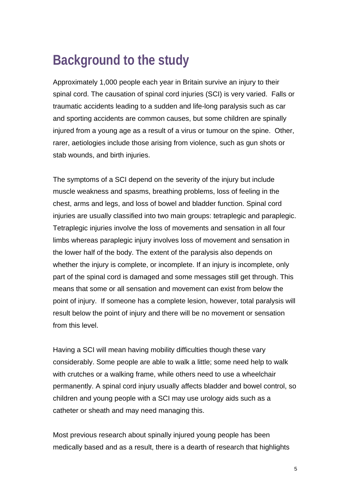# **Background to the study**

Approximately 1,000 people each year in Britain survive an injury to their spinal cord. The causation of spinal cord injuries (SCI) is very varied. Falls or traumatic accidents leading to a sudden and life-long paralysis such as car and sporting accidents are common causes, but some children are spinally injured from a young age as a result of a virus or tumour on the spine. Other, rarer, aetiologies include those arising from violence, such as gun shots or stab wounds, and birth injuries.

The symptoms of a SCI depend on the severity of the injury but include muscle weakness and spasms, breathing problems, loss of feeling in the chest, arms and legs, and loss of bowel and bladder function. Spinal cord injuries are usually classified into two main groups: tetraplegic and paraplegic. Tetraplegic injuries involve the loss of movements and sensation in all four limbs whereas paraplegic injury involves loss of movement and sensation in the lower half of the body. The extent of the paralysis also depends on whether the injury is complete, or incomplete. If an injury is incomplete, only part of the spinal cord is damaged and some messages still get through. This means that some or all sensation and movement can exist from below the point of injury. If someone has a complete lesion, however, total paralysis will result below the point of injury and there will be no movement or sensation from this level.

Having a SCI will mean having mobility difficulties though these vary considerably. Some people are able to walk a little; some need help to walk with crutches or a walking frame, while others need to use a wheelchair permanently. A spinal cord injury usually affects bladder and bowel control, so children and young people with a SCI may use urology aids such as a catheter or sheath and may need managing this.

Most previous research about spinally injured young people has been medically based and as a result, there is a dearth of research that highlights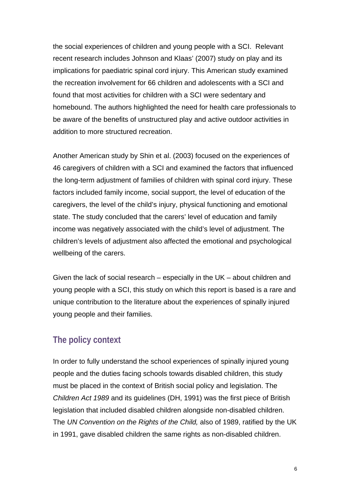the social experiences of children and young people with a SCI. Relevant recent research includes Johnson and Klaas' (2007) study on play and its implications for paediatric spinal cord injury. This American study examined the recreation involvement for 66 children and adolescents with a SCI and found that most activities for children with a SCI were sedentary and homebound. The authors highlighted the need for health care professionals to be aware of the benefits of unstructured play and active outdoor activities in addition to more structured recreation.

Another American study by Shin et al. (2003) focused on the experiences of 46 caregivers of children with a SCI and examined the factors that influenced the long-term adjustment of families of children with spinal cord injury. These factors included family income, social support, the level of education of the caregivers, the level of the child's injury, physical functioning and emotional state. The study concluded that the carers' level of education and family income was negatively associated with the child's level of adjustment. The children's levels of adjustment also affected the emotional and psychological wellbeing of the carers.

Given the lack of social research – especially in the UK – about children and young people with a SCI, this study on which this report is based is a rare and unique contribution to the literature about the experiences of spinally injured young people and their families.

# **The policy context**

In order to fully understand the school experiences of spinally injured young people and the duties facing schools towards disabled children, this study must be placed in the context of British social policy and legislation. The *Children Act 1989* and its guidelines (DH, 1991) was the first piece of British legislation that included disabled children alongside non-disabled children. The *UN Convention on the Rights of the Child,* also of 1989, ratified by the UK in 1991, gave disabled children the same rights as non-disabled children.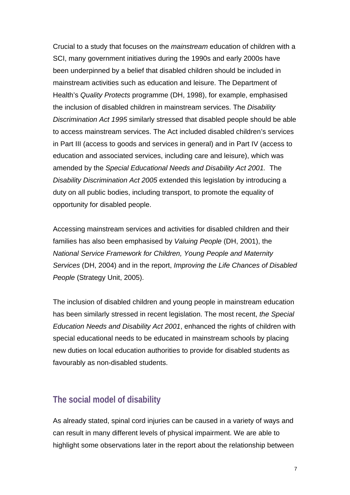Crucial to a study that focuses on the *mainstream* education of children with a SCI, many government initiatives during the 1990s and early 2000s have been underpinned by a belief that disabled children should be included in mainstream activities such as education and leisure. The Department of Health's *Quality Protects* programme (DH, 1998), for example, emphasised the inclusion of disabled children in mainstream services. The *Disability Discrimination Act 1995* similarly stressed that disabled people should be able to access mainstream services. The Act included disabled children's services in Part III (access to goods and services in general) and in Part IV (access to education and associated services, including care and leisure), which was amended by the *Special Educational Needs and Disability Act 2001.* The *Disability Discrimination Act 2005* extended this legislation by introducing a duty on all public bodies, including transport, to promote the equality of opportunity for disabled people.

Accessing mainstream services and activities for disabled children and their families has also been emphasised by *Valuing People* (DH, 2001), the *National Service Framework for Children, Young People and Maternity Services* (DH, 2004) and in the report, *Improving the Life Chances of Disabled People* (Strategy Unit, 2005).

The inclusion of disabled children and young people in mainstream education has been similarly stressed in recent legislation. The most recent, *the Special Education Needs and Disability Act 2001*, enhanced the rights of children with special educational needs to be educated in mainstream schools by placing new duties on local education authorities to provide for disabled students as favourably as non-disabled students.

# **The social model of disability**

As already stated, spinal cord injuries can be caused in a variety of ways and can result in many different levels of physical impairment. We are able to highlight some observations later in the report about the relationship between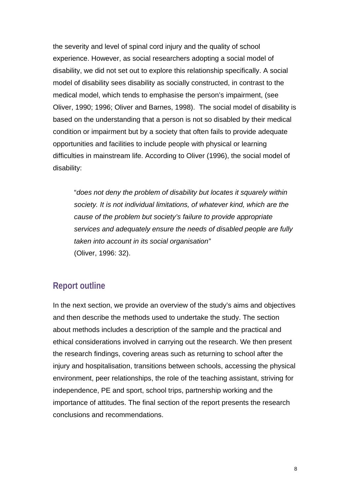the severity and level of spinal cord injury and the quality of school experience. However, as social researchers adopting a social model of disability, we did not set out to explore this relationship specifically. A social model of disability sees disability as socially constructed, in contrast to the medical model, which tends to emphasise the person's impairment, (see Oliver, 1990; 1996; Oliver and Barnes, 1998). The social model of disability is based on the understanding that a person is not so disabled by their medical condition or impairment but by a society that often fails to provide adequate opportunities and facilities to include people with physical or learning difficulties in mainstream life. According to Oliver (1996), the social model of disability:

"*does not deny the problem of disability but locates it squarely within society. It is not individual limitations, of whatever kind, which are the cause of the problem but society's failure to provide appropriate services and adequately ensure the needs of disabled people are fully taken into account in its social organisation"* (Oliver, 1996: 32).

# **Report outline**

In the next section, we provide an overview of the study's aims and objectives and then describe the methods used to undertake the study. The section about methods includes a description of the sample and the practical and ethical considerations involved in carrying out the research. We then present the research findings, covering areas such as returning to school after the injury and hospitalisation, transitions between schools, accessing the physical environment, peer relationships, the role of the teaching assistant, striving for independence, PE and sport, school trips, partnership working and the importance of attitudes. The final section of the report presents the research conclusions and recommendations.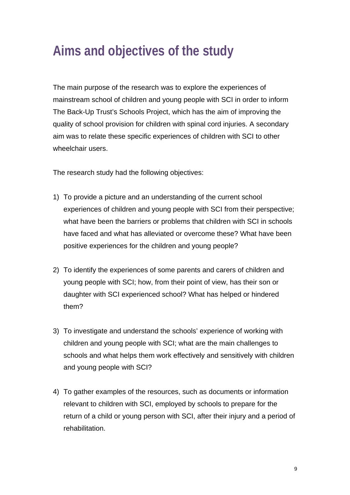# **Aims and objectives of the study**

The main purpose of the research was to explore the experiences of mainstream school of children and young people with SCI in order to inform The Back-Up Trust's Schools Project, which has the aim of improving the quality of school provision for children with spinal cord injuries. A secondary aim was to relate these specific experiences of children with SCI to other wheelchair users.

The research study had the following objectives:

- 1) To provide a picture and an understanding of the current school experiences of children and young people with SCI from their perspective; what have been the barriers or problems that children with SCI in schools have faced and what has alleviated or overcome these? What have been positive experiences for the children and young people?
- 2) To identify the experiences of some parents and carers of children and young people with SCI; how, from their point of view, has their son or daughter with SCI experienced school? What has helped or hindered them?
- 3) To investigate and understand the schools' experience of working with children and young people with SCI; what are the main challenges to schools and what helps them work effectively and sensitively with children and young people with SCI?
- 4) To gather examples of the resources, such as documents or information relevant to children with SCI, employed by schools to prepare for the return of a child or young person with SCI, after their injury and a period of rehabilitation.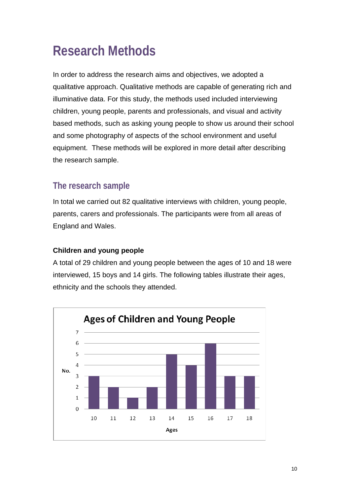# **Research Methods**

In order to address the research aims and objectives, we adopted a qualitative approach. Qualitative methods are capable of generating rich and illuminative data. For this study, the methods used included interviewing children, young people, parents and professionals, and visual and activity based methods, such as asking young people to show us around their school and some photography of aspects of the school environment and useful equipment. These methods will be explored in more detail after describing the research sample.

# **The research sample**

In total we carried out 82 qualitative interviews with children, young people, parents, carers and professionals. The participants were from all areas of England and Wales.

### **Children and young people**

A total of 29 children and young people between the ages of 10 and 18 were interviewed, 15 boys and 14 girls. The following tables illustrate their ages, ethnicity and the schools they attended.

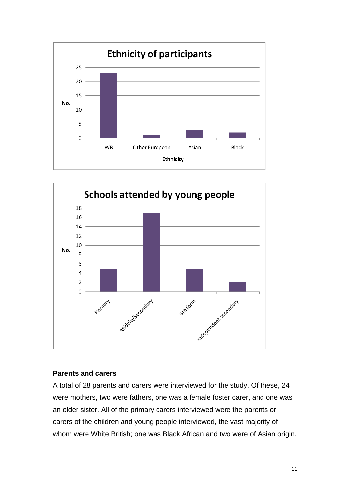



### **Parents and carers**

A total of 28 parents and carers were interviewed for the study. Of these, 24 were mothers, two were fathers, one was a female foster carer, and one was an older sister. All of the primary carers interviewed were the parents or carers of the children and young people interviewed, the vast majority of whom were White British; one was Black African and two were of Asian origin.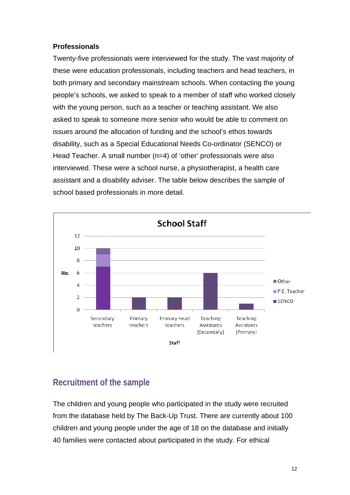### **Professionals**

Twenty-five professionals were interviewed for the study. The vast majority of these were education professionals, including teachers and head teachers, in both primary and secondary mainstream schools. When contacting the young people's schools, we asked to speak to a member of staff who worked closely with the young person, such as a teacher or teaching assistant. We also asked to speak to someone more senior who would be able to comment on issues around the allocation of funding and the school's ethos towards disability, such as a Special Educational Needs Co-ordinator (SENCO) or Head Teacher. A small number (n=4) of 'other' professionals were also interviewed. These were a school nurse, a physiotherapist, a health care assistant and a disability adviser. The table below describes the sample of school based professionals in more detail.



# **Recruitment of the sample**

The children and young people who participated in the study were recruited from the database held by The Back-Up Trust. There are currently about 100 children and young people under the age of 18 on the database and initially 40 families were contacted about participated in the study. For ethical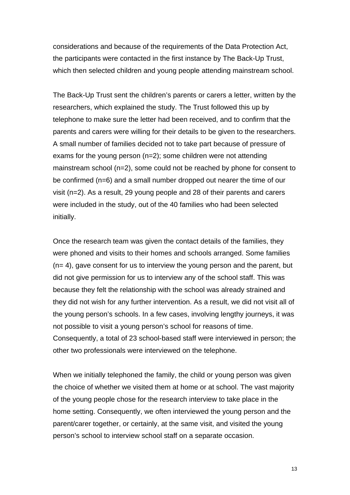considerations and because of the requirements of the Data Protection Act, the participants were contacted in the first instance by The Back-Up Trust, which then selected children and young people attending mainstream school.

The Back-Up Trust sent the children's parents or carers a letter, written by the researchers, which explained the study. The Trust followed this up by telephone to make sure the letter had been received, and to confirm that the parents and carers were willing for their details to be given to the researchers. A small number of families decided not to take part because of pressure of exams for the young person (n=2); some children were not attending mainstream school (n=2), some could not be reached by phone for consent to be confirmed (n=6) and a small number dropped out nearer the time of our visit (n=2). As a result, 29 young people and 28 of their parents and carers were included in the study, out of the 40 families who had been selected initially.

Once the research team was given the contact details of the families, they were phoned and visits to their homes and schools arranged. Some families (n= 4), gave consent for us to interview the young person and the parent, but did not give permission for us to interview any of the school staff. This was because they felt the relationship with the school was already strained and they did not wish for any further intervention. As a result, we did not visit all of the young person's schools. In a few cases, involving lengthy journeys, it was not possible to visit a young person's school for reasons of time. Consequently, a total of 23 school-based staff were interviewed in person; the other two professionals were interviewed on the telephone.

When we initially telephoned the family, the child or young person was given the choice of whether we visited them at home or at school. The vast majority of the young people chose for the research interview to take place in the home setting. Consequently, we often interviewed the young person and the parent/carer together, or certainly, at the same visit, and visited the young person's school to interview school staff on a separate occasion.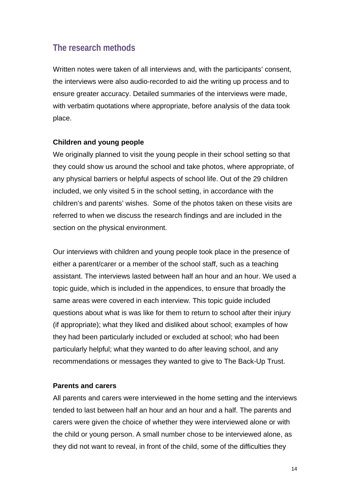# **The research methods**

Written notes were taken of all interviews and, with the participants' consent, the interviews were also audio-recorded to aid the writing up process and to ensure greater accuracy. Detailed summaries of the interviews were made, with verbatim quotations where appropriate, before analysis of the data took place.

### **Children and young people**

We originally planned to visit the young people in their school setting so that they could show us around the school and take photos, where appropriate, of any physical barriers or helpful aspects of school life. Out of the 29 children included, we only visited 5 in the school setting, in accordance with the children's and parents' wishes. Some of the photos taken on these visits are referred to when we discuss the research findings and are included in the section on the physical environment.

Our interviews with children and young people took place in the presence of either a parent/carer or a member of the school staff, such as a teaching assistant. The interviews lasted between half an hour and an hour. We used a topic guide, which is included in the appendices, to ensure that broadly the same areas were covered in each interview. This topic guide included questions about what is was like for them to return to school after their injury (if appropriate); what they liked and disliked about school; examples of how they had been particularly included or excluded at school; who had been particularly helpful; what they wanted to do after leaving school, and any recommendations or messages they wanted to give to The Back-Up Trust.

#### **Parents and carers**

All parents and carers were interviewed in the home setting and the interviews tended to last between half an hour and an hour and a half. The parents and carers were given the choice of whether they were interviewed alone or with the child or young person. A small number chose to be interviewed alone, as they did not want to reveal, in front of the child, some of the difficulties they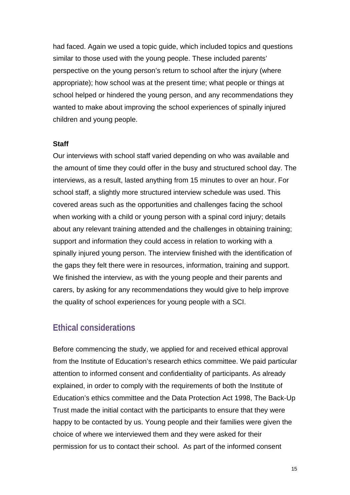had faced. Again we used a topic guide, which included topics and questions similar to those used with the young people. These included parents' perspective on the young person's return to school after the injury (where appropriate); how school was at the present time; what people or things at school helped or hindered the young person, and any recommendations they wanted to make about improving the school experiences of spinally injured children and young people.

#### **Staff**

Our interviews with school staff varied depending on who was available and the amount of time they could offer in the busy and structured school day. The interviews, as a result, lasted anything from 15 minutes to over an hour. For school staff, a slightly more structured interview schedule was used. This covered areas such as the opportunities and challenges facing the school when working with a child or young person with a spinal cord injury; details about any relevant training attended and the challenges in obtaining training; support and information they could access in relation to working with a spinally injured young person. The interview finished with the identification of the gaps they felt there were in resources, information, training and support. We finished the interview, as with the young people and their parents and carers, by asking for any recommendations they would give to help improve the quality of school experiences for young people with a SCI.

### **Ethical considerations**

Before commencing the study, we applied for and received ethical approval from the Institute of Education's research ethics committee. We paid particular attention to informed consent and confidentiality of participants. As already explained, in order to comply with the requirements of both the Institute of Education's ethics committee and the Data Protection Act 1998, The Back-Up Trust made the initial contact with the participants to ensure that they were happy to be contacted by us. Young people and their families were given the choice of where we interviewed them and they were asked for their permission for us to contact their school. As part of the informed consent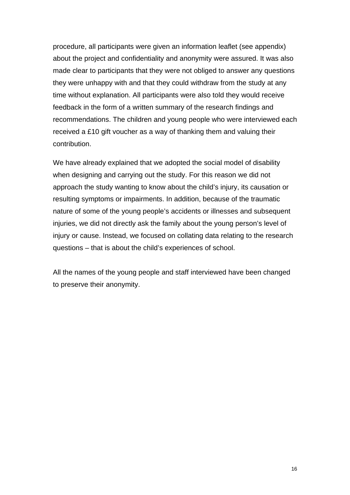procedure, all participants were given an information leaflet (see appendix) about the project and confidentiality and anonymity were assured. It was also made clear to participants that they were not obliged to answer any questions they were unhappy with and that they could withdraw from the study at any time without explanation. All participants were also told they would receive feedback in the form of a written summary of the research findings and recommendations. The children and young people who were interviewed each received a £10 gift voucher as a way of thanking them and valuing their contribution.

We have already explained that we adopted the social model of disability when designing and carrying out the study. For this reason we did not approach the study wanting to know about the child's injury, its causation or resulting symptoms or impairments. In addition, because of the traumatic nature of some of the young people's accidents or illnesses and subsequent injuries, we did not directly ask the family about the young person's level of injury or cause. Instead, we focused on collating data relating to the research questions – that is about the child's experiences of school.

All the names of the young people and staff interviewed have been changed to preserve their anonymity.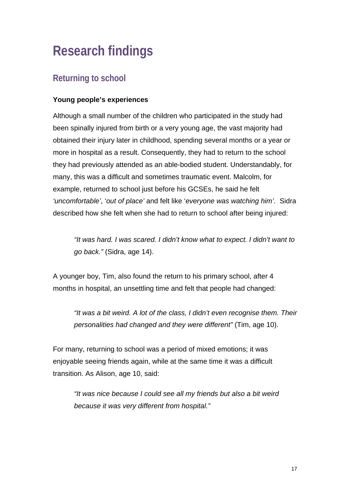# **Research findings**

# **Returning to school**

### **Young people's experiences**

Although a small number of the children who participated in the study had been spinally injured from birth or a very young age, the vast majority had obtained their injury later in childhood, spending several months or a year or more in hospital as a result. Consequently, they had to return to the school they had previously attended as an able-bodied student. Understandably, for many, this was a difficult and sometimes traumatic event. Malcolm, for example, returned to school just before his GCSEs, he said he felt *'uncomfortable'*, '*out of place'* and felt like '*everyone was watching him'*. Sidra described how she felt when she had to return to school after being injured:

*"It was hard. I was scared. I didn't know what to expect. I didn't want to go back."* (Sidra, age 14).

A younger boy, Tim, also found the return to his primary school, after 4 months in hospital, an unsettling time and felt that people had changed:

*"It was a bit weird. A lot of the class, I didn't even recognise them. Their personalities had changed and they were different"* (Tim, age 10).

For many, returning to school was a period of mixed emotions; it was enjoyable seeing friends again, while at the same time it was a difficult transition. As Alison, age 10, said:

*"It was nice because I could see all my friends but also a bit weird because it was very different from hospital."*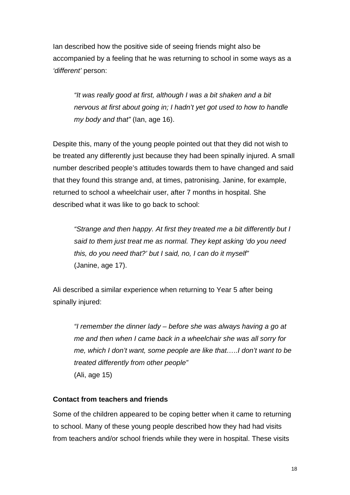Ian described how the positive side of seeing friends might also be accompanied by a feeling that he was returning to school in some ways as a *'different'* person:

*"It was really good at first, although I was a bit shaken and a bit nervous at first about going in; I hadn't yet got used to how to handle my body and that"* (Ian, age 16).

Despite this, many of the young people pointed out that they did not wish to be treated any differently just because they had been spinally injured. A small number described people's attitudes towards them to have changed and said that they found this strange and, at times, patronising. Janine, for example, returned to school a wheelchair user, after 7 months in hospital. She described what it was like to go back to school:

*"Strange and then happy. At first they treated me a bit differently but I said to them just treat me as normal. They kept asking 'do you need this, do you need that?' but I said, no, I can do it myself"*  (Janine, age 17).

Ali described a similar experience when returning to Year 5 after being spinally injured:

*"I remember the dinner lady – before she was always having a go at me and then when I came back in a wheelchair she was all sorry for me, which I don't want, some people are like that…..I don't want to be treated differently from other people"*  (Ali, age 15)

### **Contact from teachers and friends**

Some of the children appeared to be coping better when it came to returning to school. Many of these young people described how they had had visits from teachers and/or school friends while they were in hospital. These visits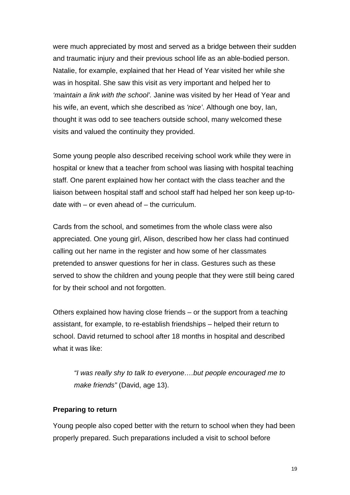were much appreciated by most and served as a bridge between their sudden and traumatic injury and their previous school life as an able-bodied person. Natalie, for example, explained that her Head of Year visited her while she was in hospital. She saw this visit as very important and helped her to *'maintain a link with the school'.* Janine was visited by her Head of Year and his wife, an event, which she described as *'nice'*. Although one boy, Ian, thought it was odd to see teachers outside school, many welcomed these visits and valued the continuity they provided.

Some young people also described receiving school work while they were in hospital or knew that a teacher from school was liasing with hospital teaching staff. One parent explained how her contact with the class teacher and the liaison between hospital staff and school staff had helped her son keep up-todate with  $-$  or even ahead of  $-$  the curriculum.

Cards from the school, and sometimes from the whole class were also appreciated. One young girl, Alison, described how her class had continued calling out her name in the register and how some of her classmates pretended to answer questions for her in class. Gestures such as these served to show the children and young people that they were still being cared for by their school and not forgotten.

Others explained how having close friends – or the support from a teaching assistant, for example, to re-establish friendships – helped their return to school. David returned to school after 18 months in hospital and described what it was like:

*"I was really shy to talk to everyone….but people encouraged me to make friends"* (David, age 13).

### **Preparing to return**

Young people also coped better with the return to school when they had been properly prepared. Such preparations included a visit to school before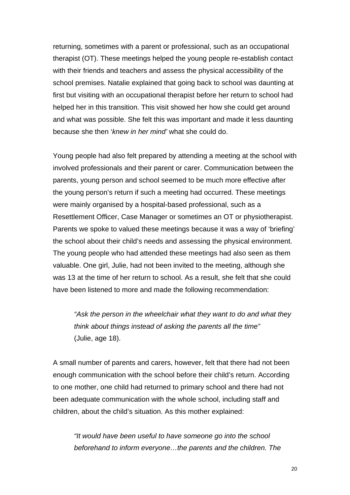returning, sometimes with a parent or professional, such as an occupational therapist (OT). These meetings helped the young people re-establish contact with their friends and teachers and assess the physical accessibility of the school premises. Natalie explained that going back to school was daunting at first but visiting with an occupational therapist before her return to school had helped her in this transition. This visit showed her how she could get around and what was possible. She felt this was important and made it less daunting because she then '*knew in her mind'* what she could do.

Young people had also felt prepared by attending a meeting at the school with involved professionals and their parent or carer. Communication between the parents, young person and school seemed to be much more effective after the young person's return if such a meeting had occurred. These meetings were mainly organised by a hospital-based professional, such as a Resettlement Officer, Case Manager or sometimes an OT or physiotherapist. Parents we spoke to valued these meetings because it was a way of 'briefing' the school about their child's needs and assessing the physical environment. The young people who had attended these meetings had also seen as them valuable. One girl, Julie, had not been invited to the meeting, although she was 13 at the time of her return to school. As a result, she felt that she could have been listened to more and made the following recommendation:

*"Ask the person in the wheelchair what they want to do and what they think about things instead of asking the parents all the time"*  (Julie, age 18).

A small number of parents and carers, however, felt that there had not been enough communication with the school before their child's return. According to one mother, one child had returned to primary school and there had not been adequate communication with the whole school, including staff and children, about the child's situation. As this mother explained:

*"It would have been useful to have someone go into the school beforehand to inform everyone…the parents and the children. The*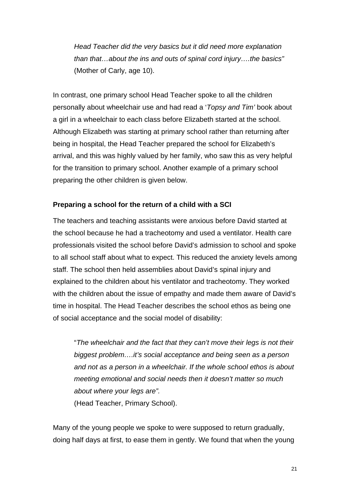*Head Teacher did the very basics but it did need more explanation than that…about the ins and outs of spinal cord injury….the basics"*  (Mother of Carly, age 10).

In contrast, one primary school Head Teacher spoke to all the children personally about wheelchair use and had read a '*Topsy and Tim'* book about a girl in a wheelchair to each class before Elizabeth started at the school. Although Elizabeth was starting at primary school rather than returning after being in hospital, the Head Teacher prepared the school for Elizabeth's arrival, and this was highly valued by her family, who saw this as very helpful for the transition to primary school. Another example of a primary school preparing the other children is given below.

#### **Preparing a school for the return of a child with a SCI**

The teachers and teaching assistants were anxious before David started at the school because he had a tracheotomy and used a ventilator. Health care professionals visited the school before David's admission to school and spoke to all school staff about what to expect. This reduced the anxiety levels among staff. The school then held assemblies about David's spinal injury and explained to the children about his ventilator and tracheotomy. They worked with the children about the issue of empathy and made them aware of David's time in hospital. The Head Teacher describes the school ethos as being one of social acceptance and the social model of disability:

"*The wheelchair and the fact that they can't move their legs is not their biggest problem….it's social acceptance and being seen as a person and not as a person in a wheelchair. If the whole school ethos is about meeting emotional and social needs then it doesn't matter so much about where your legs are".* (Head Teacher, Primary School).

Many of the young people we spoke to were supposed to return gradually, doing half days at first, to ease them in gently. We found that when the young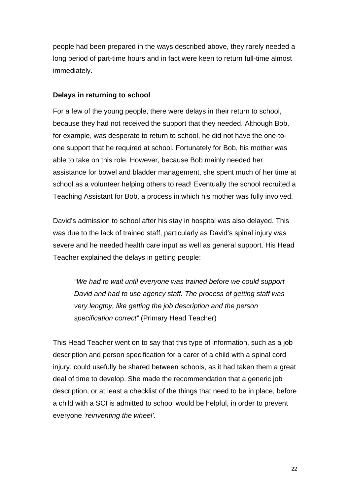people had been prepared in the ways described above, they rarely needed a long period of part-time hours and in fact were keen to return full-time almost immediately.

### **Delays in returning to school**

For a few of the young people, there were delays in their return to school, because they had not received the support that they needed. Although Bob, for example, was desperate to return to school, he did not have the one-toone support that he required at school. Fortunately for Bob, his mother was able to take on this role. However, because Bob mainly needed her assistance for bowel and bladder management, she spent much of her time at school as a volunteer helping others to read! Eventually the school recruited a Teaching Assistant for Bob, a process in which his mother was fully involved.

David's admission to school after his stay in hospital was also delayed. This was due to the lack of trained staff, particularly as David's spinal injury was severe and he needed health care input as well as general support. His Head Teacher explained the delays in getting people:

*"We had to wait until everyone was trained before we could support David and had to use agency staff. The process of getting staff was very lengthy, like getting the job description and the person specification correct"* (Primary Head Teacher)

This Head Teacher went on to say that this type of information, such as a job description and person specification for a carer of a child with a spinal cord injury, could usefully be shared between schools, as it had taken them a great deal of time to develop. She made the recommendation that a generic job description, or at least a checklist of the things that need to be in place, before a child with a SCI is admitted to school would be helpful, in order to prevent everyone *'reinventing the wheel'.*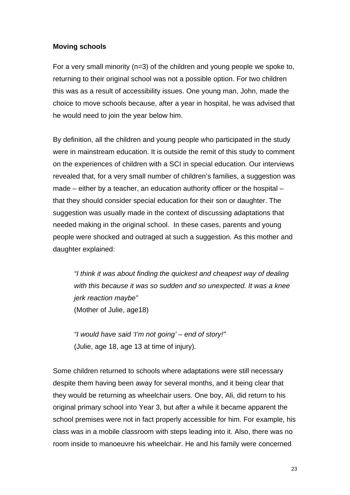### **Moving schools**

For a very small minority (n=3) of the children and young people we spoke to, returning to their original school was not a possible option. For two children this was as a result of accessibility issues. One young man, John, made the choice to move schools because, after a year in hospital, he was advised that he would need to join the year below him.

By definition, all the children and young people who participated in the study were in mainstream education. It is outside the remit of this study to comment on the experiences of children with a SCI in special education. Our interviews revealed that, for a very small number of children's families, a suggestion was made – either by a teacher, an education authority officer or the hospital – that they should consider special education for their son or daughter. The suggestion was usually made in the context of discussing adaptations that needed making in the original school. In these cases, parents and young people were shocked and outraged at such a suggestion. As this mother and daughter explained:

*"I think it was about finding the quickest and cheapest way of dealing with this because it was so sudden and so unexpected. It was a knee jerk reaction maybe"* (Mother of Julie, age18)

*"I would have said 'I'm not going' – end of story!"*  (Julie, age 18, age 13 at time of injury).

Some children returned to schools where adaptations were still necessary despite them having been away for several months, and it being clear that they would be returning as wheelchair users. One boy, Ali, did return to his original primary school into Year 3, but after a while it became apparent the school premises were not in fact properly accessible for him. For example, his class was in a mobile classroom with steps leading into it. Also, there was no room inside to manoeuvre his wheelchair. He and his family were concerned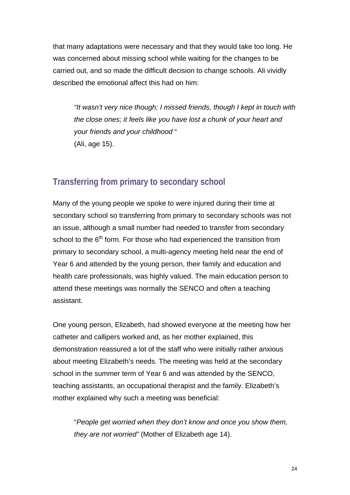that many adaptations were necessary and that they would take too long. He was concerned about missing school while waiting for the changes to be carried out, and so made the difficult decision to change schools. Ali vividly described the emotional affect this had on him:

*"It wasn't very nice though; I missed friends, though I kept in touch with the close ones; it feels like you have lost a chunk of your heart and your friends and your childhood* " (Ali, age 15).

# **Transferring from primary to secondary school**

Many of the young people we spoke to were injured during their time at secondary school so transferring from primary to secondary schools was not an issue, although a small number had needed to transfer from secondary school to the  $6<sup>th</sup>$  form. For those who had experienced the transition from primary to secondary school, a multi-agency meeting held near the end of Year 6 and attended by the young person, their family and education and health care professionals, was highly valued. The main education person to attend these meetings was normally the SENCO and often a teaching assistant.

One young person, Elizabeth, had showed everyone at the meeting how her catheter and callipers worked and, as her mother explained, this demonstration reassured a lot of the staff who were initially rather anxious about meeting Elizabeth's needs. The meeting was held at the secondary school in the summer term of Year 6 and was attended by the SENCO, teaching assistants, an occupational therapist and the family. Elizabeth's mother explained why such a meeting was beneficial:

"*People get worried when they don't know and once you show them, they are not worried"* (Mother of Elizabeth age 14).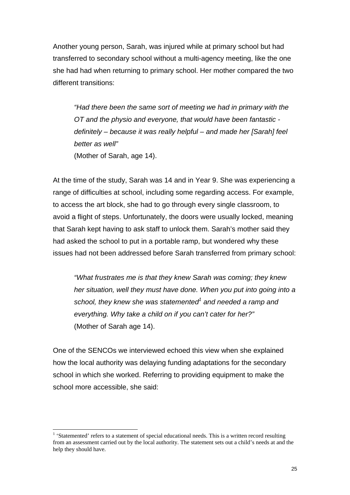Another young person, Sarah, was injured while at primary school but had transferred to secondary school without a multi-agency meeting, like the one she had had when returning to primary school. Her mother compared the two different transitions:

*"Had there been the same sort of meeting we had in primary with the OT and the physio and everyone, that would have been fantastic definitely – because it was really helpful – and made her [Sarah] feel better as well"* (Mother of Sarah, age 14).

At the time of the study, Sarah was 14 and in Year 9. She was experiencing a range of difficulties at school, including some regarding access. For example, to access the art block, she had to go through every single classroom, to avoid a flight of steps. Unfortunately, the doors were usually locked, meaning that Sarah kept having to ask staff to unlock them. Sarah's mother said they had asked the school to put in a portable ramp, but wondered why these issues had not been addressed before Sarah transferred from primary school:

*"What frustrates me is that they knew Sarah was coming; they knew her situation, well they must have done. When you put into going into a*  school, they knew she was statemented<sup>1</sup> and needed a ramp and *everything. Why take a child on if you can't cater for her?"* (Mother of Sarah age 14).

One of the SENCOs we interviewed echoed this view when she explained how the local authority was delaying funding adaptations for the secondary school in which she worked. Referring to providing equipment to make the school more accessible, she said:

 $\overline{\phantom{a}}$ 

<sup>&</sup>lt;sup>1</sup> 'Statemented' refers to a statement of special educational needs. This is a written record resulting from an assessment carried out by the local authority. The statement sets out a child's needs at and the help they should have.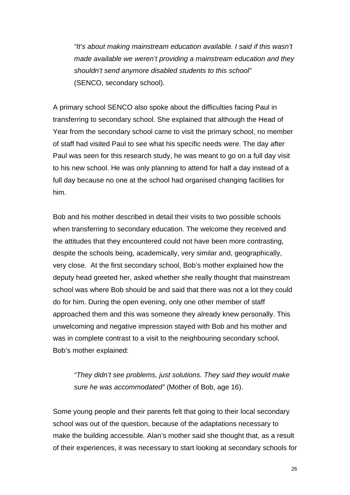*"It's about making mainstream education available. I said if this wasn't made available we weren't providing a mainstream education and they shouldn't send anymore disabled students to this school"* (SENCO, secondary school).

A primary school SENCO also spoke about the difficulties facing Paul in transferring to secondary school. She explained that although the Head of Year from the secondary school came to visit the primary school, no member of staff had visited Paul to see what his specific needs were. The day after Paul was seen for this research study, he was meant to go on a full day visit to his new school. He was only planning to attend for half a day instead of a full day because no one at the school had organised changing facilities for him.

Bob and his mother described in detail their visits to two possible schools when transferring to secondary education. The welcome they received and the attitudes that they encountered could not have been more contrasting, despite the schools being, academically, very similar and, geographically, very close. At the first secondary school, Bob's mother explained how the deputy head greeted her, asked whether she really thought that mainstream school was where Bob should be and said that there was not a lot they could do for him. During the open evening, only one other member of staff approached them and this was someone they already knew personally. This unwelcoming and negative impression stayed with Bob and his mother and was in complete contrast to a visit to the neighbouring secondary school. Bob's mother explained:

*"They didn't see problems, just solutions. They said they would make sure he was accommodated"* (Mother of Bob, age 16).

Some young people and their parents felt that going to their local secondary school was out of the question, because of the adaptations necessary to make the building accessible*.* Alan's mother said she thought that, as a result of their experiences, it was necessary to start looking at secondary schools for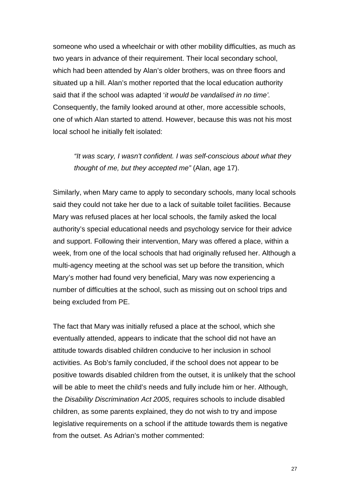someone who used a wheelchair or with other mobility difficulties, as much as two years in advance of their requirement. Their local secondary school, which had been attended by Alan's older brothers, was on three floors and situated up a hill. Alan's mother reported that the local education authority said that if the school was adapted '*it would be vandalised in no time'.*  Consequently, the family looked around at other, more accessible schools, one of which Alan started to attend. However, because this was not his most local school he initially felt isolated:

*"It was scary, I wasn't confident. I was self-conscious about what they thought of me, but they accepted me"* (Alan, age 17).

Similarly, when Mary came to apply to secondary schools, many local schools said they could not take her due to a lack of suitable toilet facilities. Because Mary was refused places at her local schools, the family asked the local authority's special educational needs and psychology service for their advice and support. Following their intervention, Mary was offered a place, within a week, from one of the local schools that had originally refused her. Although a multi-agency meeting at the school was set up before the transition, which Mary's mother had found very beneficial, Mary was now experiencing a number of difficulties at the school, such as missing out on school trips and being excluded from PE.

The fact that Mary was initially refused a place at the school, which she eventually attended, appears to indicate that the school did not have an attitude towards disabled children conducive to her inclusion in school activities. As Bob's family concluded, if the school does not appear to be positive towards disabled children from the outset, it is unlikely that the school will be able to meet the child's needs and fully include him or her. Although, the *Disability Discrimination Act 2005*, requires schools to include disabled children, as some parents explained, they do not wish to try and impose legislative requirements on a school if the attitude towards them is negative from the outset. As Adrian's mother commented: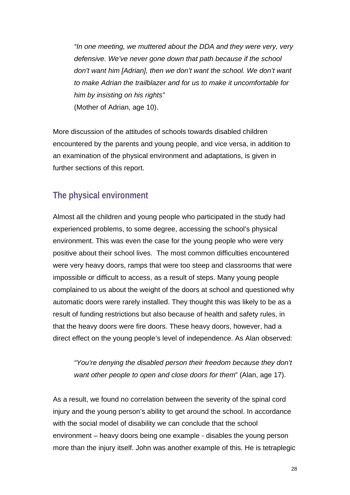*"In one meeting, we muttered about the DDA and they were very, very defensive. We've never gone down that path because if the school don't want him [Adrian], then we don't want the school. We don't want to make Adrian the trailblazer and for us to make it uncomfortable for him by insisting on his rights"*  (Mother of Adrian, age 10).

More discussion of the attitudes of schools towards disabled children encountered by the parents and young people, and vice versa, in addition to an examination of the physical environment and adaptations, is given in further sections of this report.

# **The physical environment**

Almost all the children and young people who participated in the study had experienced problems, to some degree, accessing the school's physical environment. This was even the case for the young people who were very positive about their school lives. The most common difficulties encountered were very heavy doors, ramps that were too steep and classrooms that were impossible or difficult to access, as a result of steps. Many young people complained to us about the weight of the doors at school and questioned why automatic doors were rarely installed. They thought this was likely to be as a result of funding restrictions but also because of health and safety rules, in that the heavy doors were fire doors. These heavy doors, however, had a direct effect on the young people's level of independence. As Alan observed:

*"You're denying the disabled person their freedom because they don't want other people to open and close doors for them*" (Alan, age 17).

As a result, we found no correlation between the severity of the spinal cord injury and the young person's ability to get around the school. In accordance with the social model of disability we can conclude that the school environment – heavy doors being one example - disables the young person more than the injury itself. John was another example of this. He is tetraplegic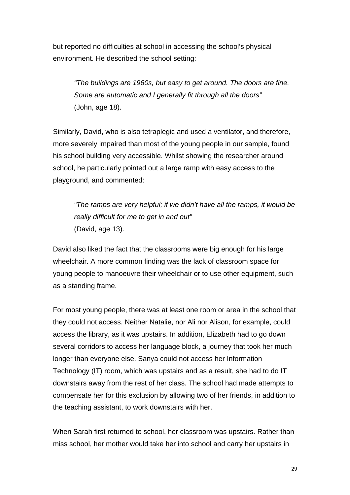but reported no difficulties at school in accessing the school's physical environment. He described the school setting:

*"The buildings are 1960s, but easy to get around. The doors are fine. Some are automatic and I generally fit through all the doors"* (John, age 18).

Similarly, David, who is also tetraplegic and used a ventilator, and therefore, more severely impaired than most of the young people in our sample, found his school building very accessible. Whilst showing the researcher around school, he particularly pointed out a large ramp with easy access to the playground, and commented:

*"The ramps are very helpful; if we didn't have all the ramps, it would be really difficult for me to get in and out"*  (David, age 13).

David also liked the fact that the classrooms were big enough for his large wheelchair. A more common finding was the lack of classroom space for young people to manoeuvre their wheelchair or to use other equipment, such as a standing frame.

For most young people, there was at least one room or area in the school that they could not access. Neither Natalie, nor Ali nor Alison, for example, could access the library, as it was upstairs. In addition, Elizabeth had to go down several corridors to access her language block, a journey that took her much longer than everyone else. Sanya could not access her Information Technology (IT) room, which was upstairs and as a result, she had to do IT downstairs away from the rest of her class. The school had made attempts to compensate her for this exclusion by allowing two of her friends, in addition to the teaching assistant, to work downstairs with her.

When Sarah first returned to school, her classroom was upstairs. Rather than miss school, her mother would take her into school and carry her upstairs in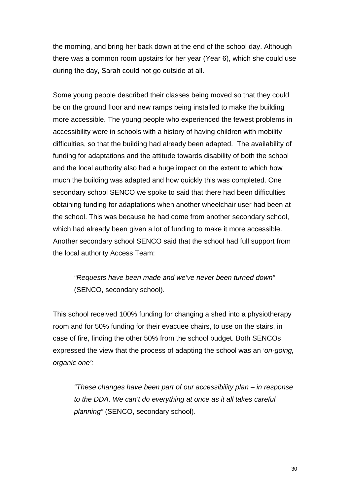the morning, and bring her back down at the end of the school day. Although there was a common room upstairs for her year (Year 6), which she could use during the day, Sarah could not go outside at all.

Some young people described their classes being moved so that they could be on the ground floor and new ramps being installed to make the building more accessible. The young people who experienced the fewest problems in accessibility were in schools with a history of having children with mobility difficulties, so that the building had already been adapted. The availability of funding for adaptations and the attitude towards disability of both the school and the local authority also had a huge impact on the extent to which how much the building was adapted and how quickly this was completed. One secondary school SENCO we spoke to said that there had been difficulties obtaining funding for adaptations when another wheelchair user had been at the school. This was because he had come from another secondary school, which had already been given a lot of funding to make it more accessible. Another secondary school SENCO said that the school had full support from the local authority Access Team:

*"Requests have been made and we've never been turned down"* (SENCO, secondary school).

This school received 100% funding for changing a shed into a physiotherapy room and for 50% funding for their evacuee chairs, to use on the stairs, in case of fire, finding the other 50% from the school budget. Both SENCOs expressed the view that the process of adapting the school was an *'on-going, organic one':* 

*"These changes have been part of our accessibility plan – in response to the DDA. We can't do everything at once as it all takes careful planning"* (SENCO, secondary school).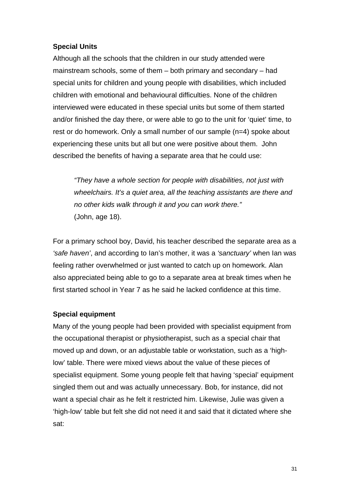### **Special Units**

Although all the schools that the children in our study attended were mainstream schools, some of them – both primary and secondary – had special units for children and young people with disabilities, which included children with emotional and behavioural difficulties. None of the children interviewed were educated in these special units but some of them started and/or finished the day there, or were able to go to the unit for 'quiet' time, to rest or do homework. Only a small number of our sample (n=4) spoke about experiencing these units but all but one were positive about them. John described the benefits of having a separate area that he could use:

*"They have a whole section for people with disabilities, not just with wheelchairs. It's a quiet area, all the teaching assistants are there and no other kids walk through it and you can work there."*  (John, age 18).

For a primary school boy, David, his teacher described the separate area as a *'safe haven'*, and according to Ian's mother, it was a *'sanctuary'* when Ian was feeling rather overwhelmed or just wanted to catch up on homework. Alan also appreciated being able to go to a separate area at break times when he first started school in Year 7 as he said he lacked confidence at this time.

### **Special equipment**

Many of the young people had been provided with specialist equipment from the occupational therapist or physiotherapist, such as a special chair that moved up and down, or an adjustable table or workstation, such as a 'highlow' table. There were mixed views about the value of these pieces of specialist equipment. Some young people felt that having 'special' equipment singled them out and was actually unnecessary. Bob, for instance, did not want a special chair as he felt it restricted him. Likewise, Julie was given a 'high-low' table but felt she did not need it and said that it dictated where she sat: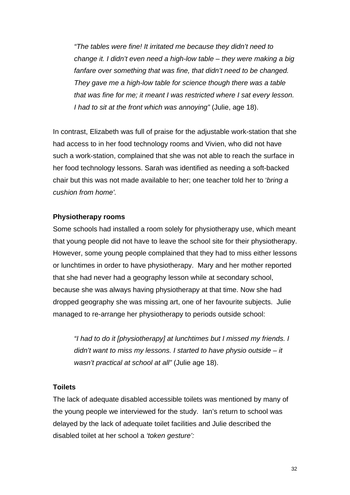*"The tables were fine! It irritated me because they didn't need to change it. I didn't even need a high-low table – they were making a big fanfare over something that was fine, that didn't need to be changed. They gave me a high-low table for science though there was a table that was fine for me; it meant I was restricted where I sat every lesson. I had to sit at the front which was annoying"* (Julie, age 18).

In contrast, Elizabeth was full of praise for the adjustable work-station that she had access to in her food technology rooms and Vivien, who did not have such a work-station, complained that she was not able to reach the surface in her food technology lessons. Sarah was identified as needing a soft-backed chair but this was not made available to her; one teacher told her to '*bring a cushion from home'.* 

#### **Physiotherapy rooms**

Some schools had installed a room solely for physiotherapy use, which meant that young people did not have to leave the school site for their physiotherapy. However, some young people complained that they had to miss either lessons or lunchtimes in order to have physiotherapy. Mary and her mother reported that she had never had a geography lesson while at secondary school, because she was always having physiotherapy at that time. Now she had dropped geography she was missing art, one of her favourite subjects. Julie managed to re-arrange her physiotherapy to periods outside school:

*"I had to do it [physiotherapy] at lunchtimes but I missed my friends. I didn't want to miss my lessons. I started to have physio outside – it wasn't practical at school at all"* (Julie age 18).

#### **Toilets**

The lack of adequate disabled accessible toilets was mentioned by many of the young people we interviewed for the study. Ian's return to school was delayed by the lack of adequate toilet facilities and Julie described the disabled toilet at her school a *'token gesture':*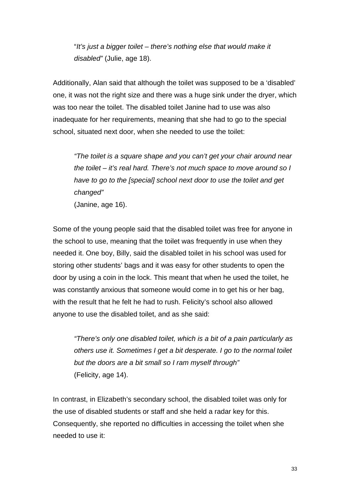"*It's just a bigger toilet – there's nothing else that would make it disabled"* (Julie, age 18).

Additionally, Alan said that although the toilet was supposed to be a 'disabled' one, it was not the right size and there was a huge sink under the dryer, which was too near the toilet. The disabled toilet Janine had to use was also inadequate for her requirements, meaning that she had to go to the special school, situated next door, when she needed to use the toilet:

*"The toilet is a square shape and you can't get your chair around near the toilet – it's real hard. There's not much space to move around so I have to go to the [special] school next door to use the toilet and get changed"*  (Janine, age 16).

Some of the young people said that the disabled toilet was free for anyone in the school to use, meaning that the toilet was frequently in use when they needed it. One boy, Billy, said the disabled toilet in his school was used for storing other students' bags and it was easy for other students to open the door by using a coin in the lock. This meant that when he used the toilet, he was constantly anxious that someone would come in to get his or her bag, with the result that he felt he had to rush. Felicity's school also allowed anyone to use the disabled toilet, and as she said:

*"There's only one disabled toilet, which is a bit of a pain particularly as others use it. Sometimes I get a bit desperate. I go to the normal toilet but the doors are a bit small so I ram myself through"*  (Felicity, age 14).

In contrast, in Elizabeth's secondary school, the disabled toilet was only for the use of disabled students or staff and she held a radar key for this. Consequently, she reported no difficulties in accessing the toilet when she needed to use it: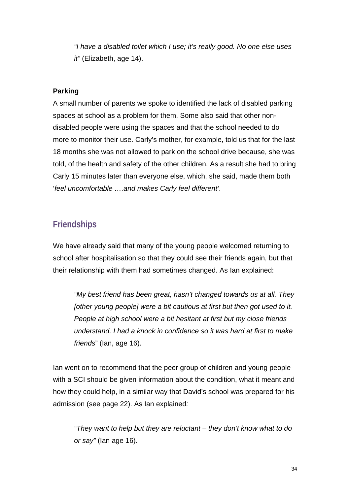*"I have a disabled toilet which I use; it's really good. No one else uses it"* (Elizabeth, age 14).

### **Parking**

A small number of parents we spoke to identified the lack of disabled parking spaces at school as a problem for them. Some also said that other nondisabled people were using the spaces and that the school needed to do more to monitor their use. Carly's mother, for example, told us that for the last 18 months she was not allowed to park on the school drive because, she was told, of the health and safety of the other children. As a result she had to bring Carly 15 minutes later than everyone else, which, she said, made them both '*feel uncomfortable ….and makes Carly feel different'*.

# **Friendships**

We have already said that many of the young people welcomed returning to school after hospitalisation so that they could see their friends again, but that their relationship with them had sometimes changed. As Ian explained:

*"My best friend has been great, hasn't changed towards us at all. They [other young people] were a bit cautious at first but then got used to it. People at high school were a bit hesitant at first but my close friends understand. I had a knock in confidence so it was hard at first to make friends*" (Ian, age 16).

Ian went on to recommend that the peer group of children and young people with a SCI should be given information about the condition, what it meant and how they could help, in a similar way that David's school was prepared for his admission (see page 22). As Ian explained*:* 

*"They want to help but they are reluctant – they don't know what to do or say"* (Ian age 16).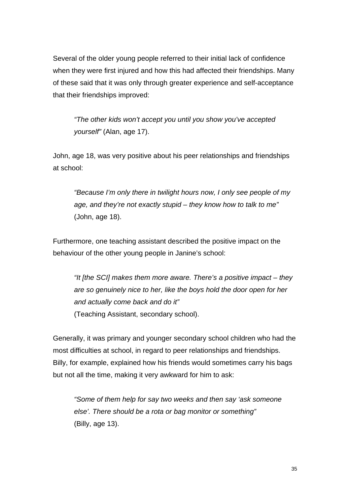Several of the older young people referred to their initial lack of confidence when they were first injured and how this had affected their friendships. Many of these said that it was only through greater experience and self-acceptance that their friendships improved:

*"The other kids won't accept you until you show you've accepted yourself"* (Alan, age 17).

John, age 18, was very positive about his peer relationships and friendships at school:

*"Because I'm only there in twilight hours now, I only see people of my age, and they're not exactly stupid – they know how to talk to me"*  (John, age 18).

Furthermore, one teaching assistant described the positive impact on the behaviour of the other young people in Janine's school:

*"It [the SCI] makes them more aware. There's a positive impact – they are so genuinely nice to her, like the boys hold the door open for her and actually come back and do it"*  (Teaching Assistant, secondary school).

Generally, it was primary and younger secondary school children who had the most difficulties at school, in regard to peer relationships and friendships. Billy, for example, explained how his friends would sometimes carry his bags but not all the time, making it very awkward for him to ask:

*"Some of them help for say two weeks and then say 'ask someone else'. There should be a rota or bag monitor or something"*  (Billy, age 13).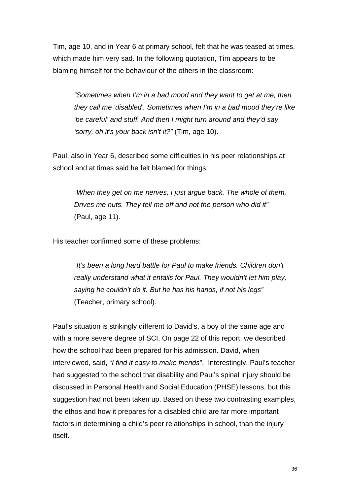Tim, age 10, and in Year 6 at primary school, felt that he was teased at times, which made him very sad. In the following quotation, Tim appears to be blaming himself for the behaviour of the others in the classroom:

*"Sometimes when I'm in a bad mood and they want to get at me, then they call me 'disabled'. Sometimes when I'm in a bad mood they're like 'be careful' and stuff. And then I might turn around and they'd say 'sorry, oh it's your back isn't it?"* (Tim, age 10).

Paul, also in Year 6, described some difficulties in his peer relationships at school and at times said he felt blamed for things:

*"When they get on me nerves, I just argue back. The whole of them. Drives me nuts. They tell me off and not the person who did it"*  (Paul, age 11).

His teacher confirmed some of these problems:

*"It's been a long hard battle for Paul to make friends. Children don't really understand what it entails for Paul. They wouldn't let him play, saying he couldn't do it. But he has his hands, if not his legs"*  (Teacher, primary school).

Paul's situation is strikingly different to David's, a boy of the same age and with a more severe degree of SCI. On page 22 of this report, we described how the school had been prepared for his admission. David, when interviewed, said, "*I find it easy to make friends*". Interestingly, Paul's teacher had suggested to the school that disability and Paul's spinal injury should be discussed in Personal Health and Social Education (PHSE) lessons, but this suggestion had not been taken up. Based on these two contrasting examples, the ethos and how it prepares for a disabled child are far more important factors in determining a child's peer relationships in school, than the injury itself.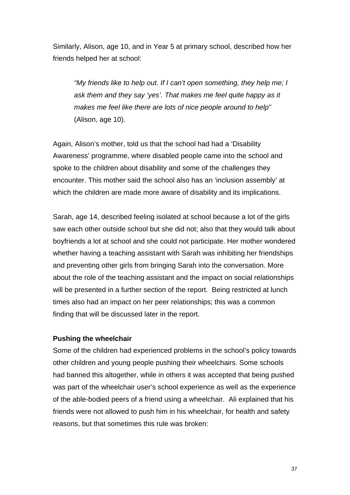Similarly, Alison, age 10, and in Year 5 at primary school, described how her friends helped her at school:

*"My friends like to help out. If I can't open something, they help me; I ask them and they say 'yes'. That makes me feel quite happy as it makes me feel like there are lots of nice people around to help"*  (Alison, age 10).

Again, Alison's mother, told us that the school had had a 'Disability Awareness' programme, where disabled people came into the school and spoke to the children about disability and some of the challenges they encounter. This mother said the school also has an 'inclusion assembly' at which the children are made more aware of disability and its implications.

Sarah, age 14, described feeling isolated at school because a lot of the girls saw each other outside school but she did not; also that they would talk about boyfriends a lot at school and she could not participate. Her mother wondered whether having a teaching assistant with Sarah was inhibiting her friendships and preventing other girls from bringing Sarah into the conversation. More about the role of the teaching assistant and the impact on social relationships will be presented in a further section of the report. Being restricted at lunch times also had an impact on her peer relationships; this was a common finding that will be discussed later in the report.

#### **Pushing the wheelchair**

Some of the children had experienced problems in the school's policy towards other children and young people pushing their wheelchairs. Some schools had banned this altogether, while in others it was accepted that being pushed was part of the wheelchair user's school experience as well as the experience of the able-bodied peers of a friend using a wheelchair. Ali explained that his friends were not allowed to push him in his wheelchair, for health and safety reasons, but that sometimes this rule was broken: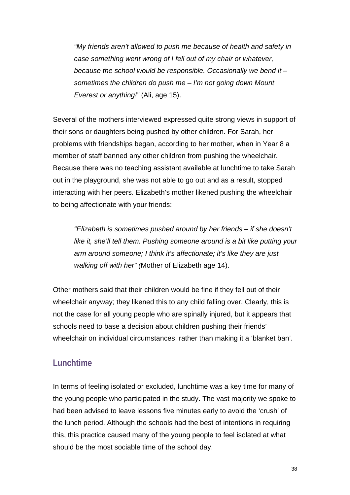*"My friends aren't allowed to push me because of health and safety in case something went wrong of I fell out of my chair or whatever, because the school would be responsible. Occasionally we bend it – sometimes the children do push me – I'm not going down Mount Everest or anything!"* (Ali, age 15).

Several of the mothers interviewed expressed quite strong views in support of their sons or daughters being pushed by other children. For Sarah, her problems with friendships began, according to her mother, when in Year 8 a member of staff banned any other children from pushing the wheelchair. Because there was no teaching assistant available at lunchtime to take Sarah out in the playground, she was not able to go out and as a result, stopped interacting with her peers. Elizabeth's mother likened pushing the wheelchair to being affectionate with your friends:

*"Elizabeth is sometimes pushed around by her friends – if she doesn't like it, she'll tell them. Pushing someone around is a bit like putting your arm around someone; I think it's affectionate; it's like they are just walking off with her" (*Mother of Elizabeth age 14).

Other mothers said that their children would be fine if they fell out of their wheelchair anyway; they likened this to any child falling over. Clearly, this is not the case for all young people who are spinally injured, but it appears that schools need to base a decision about children pushing their friends' wheelchair on individual circumstances, rather than making it a 'blanket ban'.

### **Lunchtime**

In terms of feeling isolated or excluded, lunchtime was a key time for many of the young people who participated in the study. The vast majority we spoke to had been advised to leave lessons five minutes early to avoid the 'crush' of the lunch period. Although the schools had the best of intentions in requiring this, this practice caused many of the young people to feel isolated at what should be the most sociable time of the school day.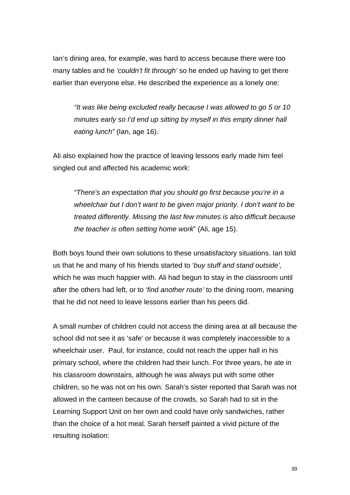Ian's dining area, for example, was hard to access because there were too many tables and he *'couldn't fit through'* so he ended up having to get there earlier than everyone else. He described the experience as a lonely one:

*"It was like being excluded really because I was allowed to go 5 or 10 minutes early so I'd end up sitting by myself in this empty dinner hall eating lunch"* (Ian, age 16).

Ali also explained how the practice of leaving lessons early made him feel singled out and affected his academic work:

*"There's an expectation that you should go first because you're in a wheelchair but I don't want to be given major priority. I don't want to be treated differently. Missing the last few minutes is also difficult because the teacher is often setting home work*" (Ali, age 15).

Both boys found their own solutions to these unsatisfactory situations. Ian told us that he and many of his friends started to '*buy stuff and stand outside',* which he was much happier with. Ali had begun to stay in the classroom until after the others had left, or to '*find another route'* to the dining room, meaning that he did not need to leave lessons earlier than his peers did.

A small number of children could not access the dining area at all because the school did not see it as 'safe' or because it was completely inaccessible to a wheelchair user. Paul, for instance, could not reach the upper hall in his primary school, where the children had their lunch. For three years, he ate in his classroom downstairs, although he was always put with some other children, so he was not on his own. Sarah's sister reported that Sarah was not allowed in the canteen because of the crowds, so Sarah had to sit in the Learning Support Unit on her own and could have only sandwiches, rather than the choice of a hot meal*.* Sarah herself painted a vivid picture of the resulting isolation: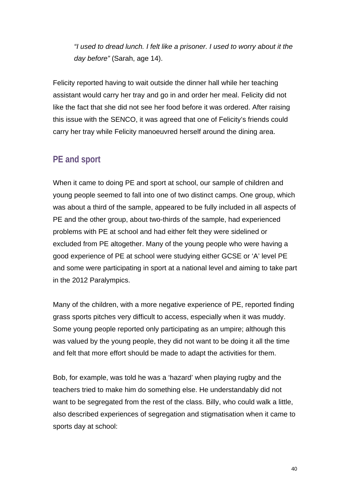*"I used to dread lunch. I felt like a prisoner. I used to worry about it the day before"* (Sarah, age 14).

Felicity reported having to wait outside the dinner hall while her teaching assistant would carry her tray and go in and order her meal. Felicity did not like the fact that she did not see her food before it was ordered. After raising this issue with the SENCO, it was agreed that one of Felicity's friends could carry her tray while Felicity manoeuvred herself around the dining area.

# **PE and sport**

When it came to doing PE and sport at school, our sample of children and young people seemed to fall into one of two distinct camps. One group, which was about a third of the sample, appeared to be fully included in all aspects of PE and the other group, about two-thirds of the sample, had experienced problems with PE at school and had either felt they were sidelined or excluded from PE altogether. Many of the young people who were having a good experience of PE at school were studying either GCSE or 'A' level PE and some were participating in sport at a national level and aiming to take part in the 2012 Paralympics.

Many of the children, with a more negative experience of PE, reported finding grass sports pitches very difficult to access, especially when it was muddy. Some young people reported only participating as an umpire; although this was valued by the young people, they did not want to be doing it all the time and felt that more effort should be made to adapt the activities for them.

Bob, for example, was told he was a 'hazard' when playing rugby and the teachers tried to make him do something else. He understandably did not want to be segregated from the rest of the class. Billy, who could walk a little, also described experiences of segregation and stigmatisation when it came to sports day at school: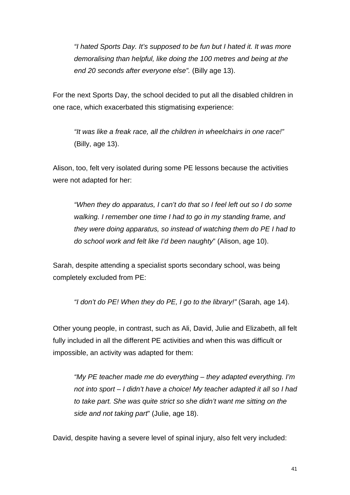*"I hated Sports Day. It's supposed to be fun but I hated it. It was more demoralising than helpful, like doing the 100 metres and being at the end 20 seconds after everyone else".* (Billy age 13).

For the next Sports Day, the school decided to put all the disabled children in one race, which exacerbated this stigmatising experience:

*"It was like a freak race, all the children in wheelchairs in one race!"* (Billy, age 13).

Alison, too, felt very isolated during some PE lessons because the activities were not adapted for her:

*"When they do apparatus, I can't do that so I feel left out so I do some walking. I remember one time I had to go in my standing frame, and they were doing apparatus, so instead of watching them do PE I had to do school work and felt like I'd been naughty*" (Alison, age 10).

Sarah, despite attending a specialist sports secondary school, was being completely excluded from PE:

 *"I don't do PE! When they do PE, I go to the library!"* (Sarah, age 14).

Other young people, in contrast, such as Ali, David, Julie and Elizabeth, all felt fully included in all the different PE activities and when this was difficult or impossible, an activity was adapted for them:

*"My PE teacher made me do everything – they adapted everything. I'm not into sport – I didn't have a choice! My teacher adapted it all so I had to take part. She was quite strict so she didn't want me sitting on the side and not taking part*" (Julie, age 18).

David, despite having a severe level of spinal injury, also felt very included: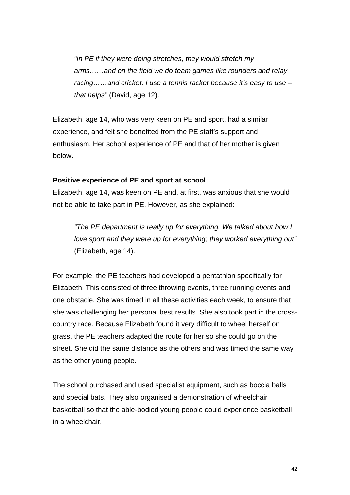*"In PE if they were doing stretches, they would stretch my arms……and on the field we do team games like rounders and relay racing……and cricket. I use a tennis racket because it's easy to use – that helps"* (David, age 12).

Elizabeth, age 14, who was very keen on PE and sport, had a similar experience, and felt she benefited from the PE staff's support and enthusiasm. Her school experience of PE and that of her mother is given below.

#### **Positive experience of PE and sport at school**

Elizabeth, age 14, was keen on PE and, at first, was anxious that she would not be able to take part in PE. However, as she explained:

*"The PE department is really up for everything. We talked about how I love sport and they were up for everything; they worked everything out"*  (Elizabeth, age 14).

For example, the PE teachers had developed a pentathlon specifically for Elizabeth. This consisted of three throwing events, three running events and one obstacle. She was timed in all these activities each week, to ensure that she was challenging her personal best results. She also took part in the crosscountry race. Because Elizabeth found it very difficult to wheel herself on grass, the PE teachers adapted the route for her so she could go on the street. She did the same distance as the others and was timed the same way as the other young people.

The school purchased and used specialist equipment, such as boccia balls and special bats. They also organised a demonstration of wheelchair basketball so that the able-bodied young people could experience basketball in a wheelchair.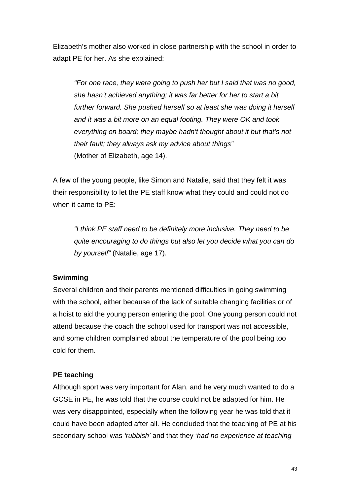Elizabeth's mother also worked in close partnership with the school in order to adapt PE for her. As she explained:

*"For one race, they were going to push her but I said that was no good, she hasn't achieved anything; it was far better for her to start a bit further forward. She pushed herself so at least she was doing it herself and it was a bit more on an equal footing. They were OK and took everything on board; they maybe hadn't thought about it but that's not their fault; they always ask my advice about things"*  (Mother of Elizabeth, age 14).

A few of the young people, like Simon and Natalie, said that they felt it was their responsibility to let the PE staff know what they could and could not do when it came to PE:

*"I think PE staff need to be definitely more inclusive. They need to be quite encouraging to do things but also let you decide what you can do by yourself"* (Natalie, age 17).

#### **Swimming**

Several children and their parents mentioned difficulties in going swimming with the school, either because of the lack of suitable changing facilities or of a hoist to aid the young person entering the pool. One young person could not attend because the coach the school used for transport was not accessible, and some children complained about the temperature of the pool being too cold for them.

#### **PE teaching**

Although sport was very important for Alan, and he very much wanted to do a GCSE in PE, he was told that the course could not be adapted for him. He was very disappointed, especially when the following year he was told that it could have been adapted after all. He concluded that the teaching of PE at his secondary school was *'rubbish'* and that they '*had no experience at teaching*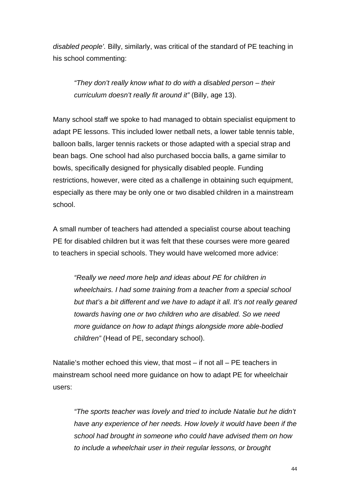*disabled people'.* Billy, similarly, was critical of the standard of PE teaching in his school commenting:

*"They don't really know what to do with a disabled person – their curriculum doesn't really fit around it"* (Billy, age 13).

Many school staff we spoke to had managed to obtain specialist equipment to adapt PE lessons. This included lower netball nets, a lower table tennis table, balloon balls, larger tennis rackets or those adapted with a special strap and bean bags. One school had also purchased boccia balls, a game similar to bowls, specifically designed for physically disabled people. Funding restrictions, however, were cited as a challenge in obtaining such equipment, especially as there may be only one or two disabled children in a mainstream school.

A small number of teachers had attended a specialist course about teaching PE for disabled children but it was felt that these courses were more geared to teachers in special schools. They would have welcomed more advice:

*"Really we need more help and ideas about PE for children in wheelchairs. I had some training from a teacher from a special school but that's a bit different and we have to adapt it all. It's not really geared towards having one or two children who are disabled. So we need more guidance on how to adapt things alongside more able-bodied children"* (Head of PE, secondary school).

Natalie's mother echoed this view, that most – if not all – PE teachers in mainstream school need more guidance on how to adapt PE for wheelchair users:

*"The sports teacher was lovely and tried to include Natalie but he didn't have any experience of her needs. How lovely it would have been if the school had brought in someone who could have advised them on how to include a wheelchair user in their regular lessons, or brought*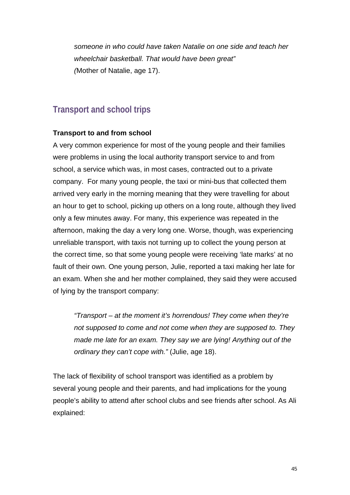*someone in who could have taken Natalie on one side and teach her wheelchair basketball. That would have been great" (*Mother of Natalie, age 17).

### **Transport and school trips**

#### **Transport to and from school**

A very common experience for most of the young people and their families were problems in using the local authority transport service to and from school, a service which was, in most cases, contracted out to a private company. For many young people, the taxi or mini-bus that collected them arrived very early in the morning meaning that they were travelling for about an hour to get to school, picking up others on a long route, although they lived only a few minutes away. For many, this experience was repeated in the afternoon, making the day a very long one. Worse, though, was experiencing unreliable transport, with taxis not turning up to collect the young person at the correct time, so that some young people were receiving 'late marks' at no fault of their own. One young person, Julie, reported a taxi making her late for an exam. When she and her mother complained, they said they were accused of lying by the transport company:

*"Transport – at the moment it's horrendous! They come when they're not supposed to come and not come when they are supposed to. They made me late for an exam. They say we are lying! Anything out of the ordinary they can't cope with."* (Julie, age 18).

The lack of flexibility of school transport was identified as a problem by several young people and their parents, and had implications for the young people's ability to attend after school clubs and see friends after school. As Ali explained: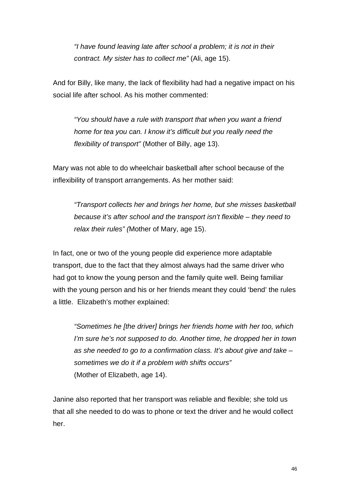*"I have found leaving late after school a problem; it is not in their contract. My sister has to collect me"* (Ali, age 15).

And for Billy, like many, the lack of flexibility had had a negative impact on his social life after school. As his mother commented:

*"You should have a rule with transport that when you want a friend home for tea you can. I know it's difficult but you really need the flexibility of transport"* (Mother of Billy, age 13).

Mary was not able to do wheelchair basketball after school because of the inflexibility of transport arrangements. As her mother said:

*"Transport collects her and brings her home, but she misses basketball because it's after school and the transport isn't flexible – they need to relax their rules" (*Mother of Mary, age 15).

In fact, one or two of the young people did experience more adaptable transport, due to the fact that they almost always had the same driver who had got to know the young person and the family quite well. Being familiar with the young person and his or her friends meant they could 'bend' the rules a little. Elizabeth's mother explained:

*"Sometimes he [the driver] brings her friends home with her too, which I'm sure he's not supposed to do. Another time, he dropped her in town as she needed to go to a confirmation class. It's about give and take – sometimes we do it if a problem with shifts occurs"*  (Mother of Elizabeth, age 14).

Janine also reported that her transport was reliable and flexible; she told us that all she needed to do was to phone or text the driver and he would collect her.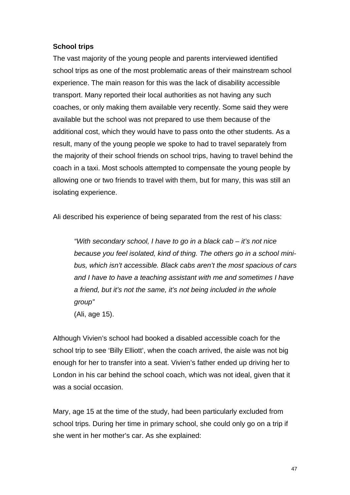#### **School trips**

The vast majority of the young people and parents interviewed identified school trips as one of the most problematic areas of their mainstream school experience. The main reason for this was the lack of disability accessible transport. Many reported their local authorities as not having any such coaches, or only making them available very recently. Some said they were available but the school was not prepared to use them because of the additional cost, which they would have to pass onto the other students. As a result, many of the young people we spoke to had to travel separately from the majority of their school friends on school trips, having to travel behind the coach in a taxi. Most schools attempted to compensate the young people by allowing one or two friends to travel with them, but for many, this was still an isolating experience.

Ali described his experience of being separated from the rest of his class:

*"With secondary school, I have to go in a black cab – it's not nice because you feel isolated, kind of thing. The others go in a school minibus, which isn't accessible. Black cabs aren't the most spacious of cars and I have to have a teaching assistant with me and sometimes I have a friend, but it's not the same, it's not being included in the whole group"*  (Ali, age 15).

Although Vivien's school had booked a disabled accessible coach for the school trip to see 'Billy Elliott', when the coach arrived, the aisle was not big enough for her to transfer into a seat. Vivien's father ended up driving her to London in his car behind the school coach, which was not ideal, given that it was a social occasion.

Mary, age 15 at the time of the study, had been particularly excluded from school trips. During her time in primary school, she could only go on a trip if she went in her mother's car. As she explained: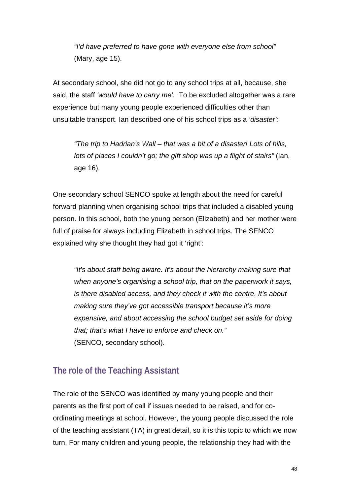*"I'd have preferred to have gone with everyone else from school"* (Mary, age 15).

At secondary school, she did not go to any school trips at all, because, she said, the staff *'would have to carry me'.* To be excluded altogether was a rare experience but many young people experienced difficulties other than unsuitable transport. Ian described one of his school trips as a *'disaster':* 

*"The trip to Hadrian's Wall – that was a bit of a disaster! Lots of hills, lots of places I couldn't go; the gift shop was up a flight of stairs"* (Ian, age 16).

One secondary school SENCO spoke at length about the need for careful forward planning when organising school trips that included a disabled young person. In this school, both the young person (Elizabeth) and her mother were full of praise for always including Elizabeth in school trips. The SENCO explained why she thought they had got it 'right':

*"It's about staff being aware. It's about the hierarchy making sure that when anyone's organising a school trip, that on the paperwork it says, is there disabled access, and they check it with the centre. It's about making sure they've got accessible transport because it's more expensive, and about accessing the school budget set aside for doing that; that's what I have to enforce and check on."*  (SENCO, secondary school).

### **The role of the Teaching Assistant**

The role of the SENCO was identified by many young people and their parents as the first port of call if issues needed to be raised, and for coordinating meetings at school. However, the young people discussed the role of the teaching assistant (TA) in great detail, so it is this topic to which we now turn. For many children and young people, the relationship they had with the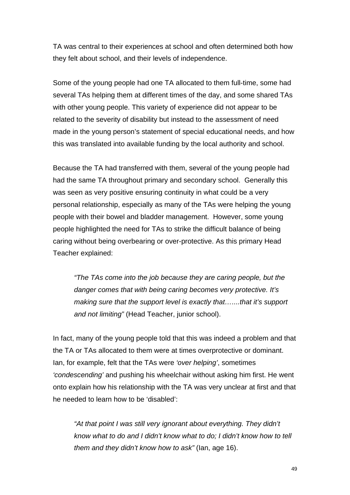TA was central to their experiences at school and often determined both how they felt about school, and their levels of independence.

Some of the young people had one TA allocated to them full-time, some had several TAs helping them at different times of the day, and some shared TAs with other young people. This variety of experience did not appear to be related to the severity of disability but instead to the assessment of need made in the young person's statement of special educational needs, and how this was translated into available funding by the local authority and school.

Because the TA had transferred with them, several of the young people had had the same TA throughout primary and secondary school. Generally this was seen as very positive ensuring continuity in what could be a very personal relationship, especially as many of the TAs were helping the young people with their bowel and bladder management. However, some young people highlighted the need for TAs to strike the difficult balance of being caring without being overbearing or over-protective. As this primary Head Teacher explained:

*"The TAs come into the job because they are caring people, but the danger comes that with being caring becomes very protective. It's making sure that the support level is exactly that…....that it's support and not limiting"* (Head Teacher, junior school).

In fact, many of the young people told that this was indeed a problem and that the TA or TAs allocated to them were at times overprotective or dominant. Ian, for example, felt that the TAs were *'over helping'*, sometimes *'condescending'* and pushing his wheelchair without asking him first. He went onto explain how his relationship with the TA was very unclear at first and that he needed to learn how to be 'disabled':

*"At that point I was still very ignorant about everything. They didn't know what to do and I didn't know what to do; I didn't know how to tell them and they didn't know how to ask"* (Ian, age 16).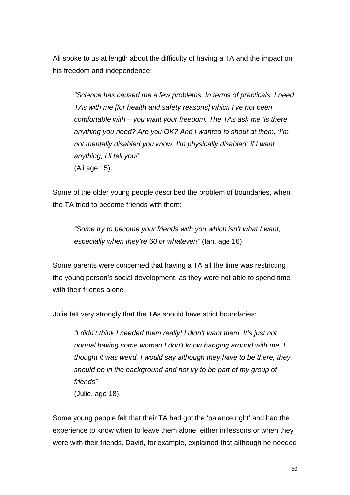Ali spoke to us at length about the difficulty of having a TA and the impact on his freedom and independence:

*"Science has caused me a few problems. In terms of practicals, I need TAs with me [for health and safety reasons] which I've not been comfortable with – you want your freedom. The TAs ask me 'is there anything you need? Are you OK? And I wanted to shout at them, 'I'm not mentally disabled you know, I'm physically disabled; if I want anything, I'll tell you!"*  (Ali age 15).

Some of the older young people described the problem of boundaries, when the TA tried to become friends with them:

*"Some try to become your friends with you which isn't what I want, especially when they're 60 or whatever!"* (Ian, age 16).

Some parents were concerned that having a TA all the time was restricting the young person's social development, as they were not able to spend time with their friends alone*.* 

Julie felt very strongly that the TAs should have strict boundaries:

*"I didn't think I needed them really! I didn't want them. It's just not normal having some woman I don't know hanging around with me. I thought it was weird. I would say although they have to be there, they should be in the background and not try to be part of my group of friends"*  (Julie, age 18).

Some young people felt that their TA had got the 'balance right' and had the experience to know when to leave them alone, either in lessons or when they were with their friends. David, for example, explained that although he needed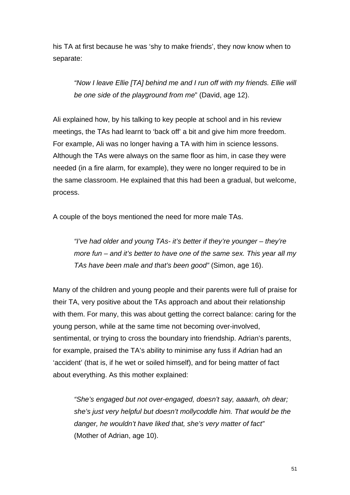his TA at first because he was 'shy to make friends', they now know when to separate:

*"Now I leave Ellie [TA] behind me and I run off with my friends. Ellie will be one side of the playground from me*" (David, age 12).

Ali explained how, by his talking to key people at school and in his review meetings, the TAs had learnt to 'back off' a bit and give him more freedom. For example, Ali was no longer having a TA with him in science lessons. Although the TAs were always on the same floor as him, in case they were needed (in a fire alarm, for example), they were no longer required to be in the same classroom. He explained that this had been a gradual, but welcome, process.

A couple of the boys mentioned the need for more male TAs.

*"I've had older and young TAs- it's better if they're younger – they're more fun – and it's better to have one of the same sex. This year all my TAs have been male and that's been good"* (Simon, age 16).

Many of the children and young people and their parents were full of praise for their TA, very positive about the TAs approach and about their relationship with them. For many, this was about getting the correct balance: caring for the young person, while at the same time not becoming over-involved, sentimental, or trying to cross the boundary into friendship. Adrian's parents, for example, praised the TA's ability to minimise any fuss if Adrian had an 'accident' (that is, if he wet or soiled himself), and for being matter of fact about everything. As this mother explained:

*"She's engaged but not over-engaged, doesn't say, aaaarh, oh dear; she's just very helpful but doesn't mollycoddle him. That would be the danger, he wouldn't have liked that, she's very matter of fact"*  (Mother of Adrian, age 10).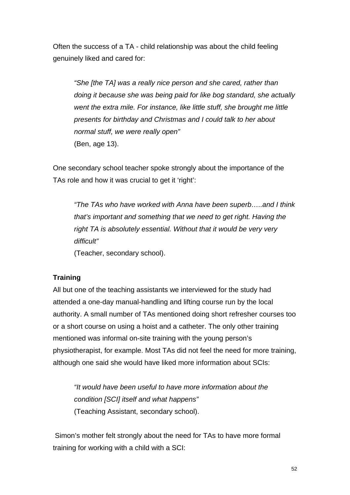Often the success of a TA - child relationship was about the child feeling genuinely liked and cared for:

*"She [the TA] was a really nice person and she cared, rather than doing it because she was being paid for like bog standard, she actually went the extra mile. For instance, like little stuff, she brought me little presents for birthday and Christmas and I could talk to her about normal stuff, we were really open"* (Ben, age 13).

One secondary school teacher spoke strongly about the importance of the TAs role and how it was crucial to get it 'right':

*"The TAs who have worked with Anna have been superb…..and I think that's important and something that we need to get right. Having the right TA is absolutely essential. Without that it would be very very difficult"* 

(Teacher, secondary school).

#### **Training**

All but one of the teaching assistants we interviewed for the study had attended a one-day manual-handling and lifting course run by the local authority. A small number of TAs mentioned doing short refresher courses too or a short course on using a hoist and a catheter. The only other training mentioned was informal on-site training with the young person's physiotherapist, for example. Most TAs did not feel the need for more training, although one said she would have liked more information about SCIs:

*"It would have been useful to have more information about the condition [SCI] itself and what happens"* (Teaching Assistant, secondary school).

 Simon's mother felt strongly about the need for TAs to have more formal training for working with a child with a SCI: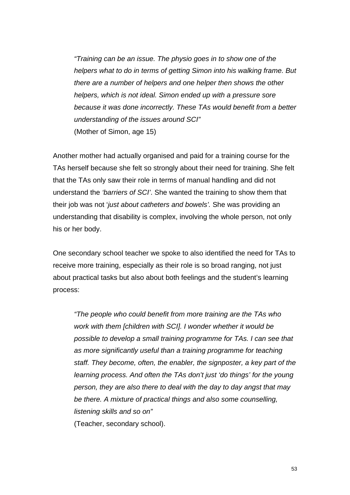*"Training can be an issue. The physio goes in to show one of the helpers what to do in terms of getting Simon into his walking frame. But there are a number of helpers and one helper then shows the other helpers, which is not ideal. Simon ended up with a pressure sore because it was done incorrectly. These TAs would benefit from a better understanding of the issues around SCI"*  (Mother of Simon, age 15)

Another mother had actually organised and paid for a training course for the TAs herself because she felt so strongly about their need for training. She felt that the TAs only saw their role in terms of manual handling and did not understand the *'barriers of SCI'*. She wanted the training to show them that their job was not '*just about catheters and bowels'.* She was providing an understanding that disability is complex, involving the whole person, not only his or her body.

One secondary school teacher we spoke to also identified the need for TAs to receive more training, especially as their role is so broad ranging, not just about practical tasks but also about both feelings and the student's learning process:

*"The people who could benefit from more training are the TAs who work with them [children with SCI]. I wonder whether it would be possible to develop a small training programme for TAs. I can see that as more significantly useful than a training programme for teaching staff. They become, often, the enabler, the signposter, a key part of the learning process. And often the TAs don't just 'do things' for the young person, they are also there to deal with the day to day angst that may be there. A mixture of practical things and also some counselling, listening skills and so on"*  (Teacher, secondary school).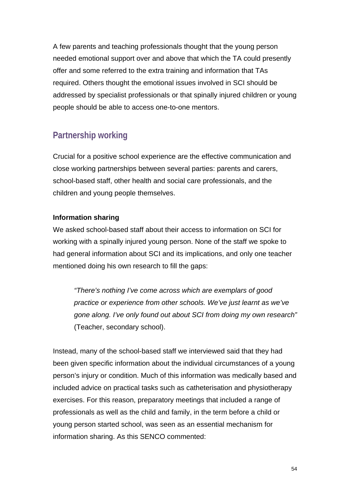A few parents and teaching professionals thought that the young person needed emotional support over and above that which the TA could presently offer and some referred to the extra training and information that TAs required. Others thought the emotional issues involved in SCI should be addressed by specialist professionals or that spinally injured children or young people should be able to access one-to-one mentors.

# **Partnership working**

Crucial for a positive school experience are the effective communication and close working partnerships between several parties: parents and carers, school-based staff, other health and social care professionals, and the children and young people themselves.

#### **Information sharing**

We asked school-based staff about their access to information on SCI for working with a spinally injured young person. None of the staff we spoke to had general information about SCI and its implications, and only one teacher mentioned doing his own research to fill the gaps:

*"There's nothing I've come across which are exemplars of good practice or experience from other schools. We've just learnt as we've gone along. I've only found out about SCI from doing my own research"*  (Teacher, secondary school).

Instead, many of the school-based staff we interviewed said that they had been given specific information about the individual circumstances of a young person's injury or condition. Much of this information was medically based and included advice on practical tasks such as catheterisation and physiotherapy exercises. For this reason, preparatory meetings that included a range of professionals as well as the child and family, in the term before a child or young person started school, was seen as an essential mechanism for information sharing. As this SENCO commented: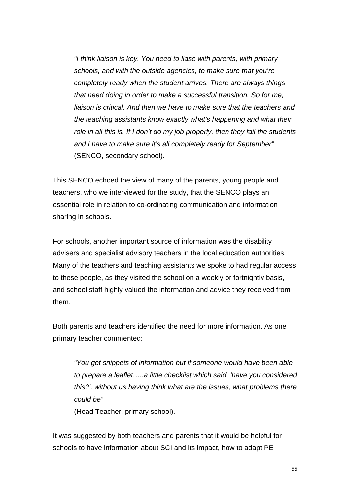*"I think liaison is key. You need to liase with parents, with primary schools, and with the outside agencies, to make sure that you're completely ready when the student arrives. There are always things that need doing in order to make a successful transition. So for me, liaison is critical. And then we have to make sure that the teachers and the teaching assistants know exactly what's happening and what their role in all this is. If I don't do my job properly, then they fail the students and I have to make sure it's all completely ready for September"* (SENCO, secondary school).

This SENCO echoed the view of many of the parents, young people and teachers, who we interviewed for the study, that the SENCO plays an essential role in relation to co-ordinating communication and information sharing in schools.

For schools, another important source of information was the disability advisers and specialist advisory teachers in the local education authorities. Many of the teachers and teaching assistants we spoke to had regular access to these people, as they visited the school on a weekly or fortnightly basis, and school staff highly valued the information and advice they received from them.

Both parents and teachers identified the need for more information. As one primary teacher commented:

*"You get snippets of information but if someone would have been able to prepare a leaflet…..a little checklist which said, 'have you considered this?', without us having think what are the issues, what problems there could be"* 

(Head Teacher, primary school).

It was suggested by both teachers and parents that it would be helpful for schools to have information about SCI and its impact, how to adapt PE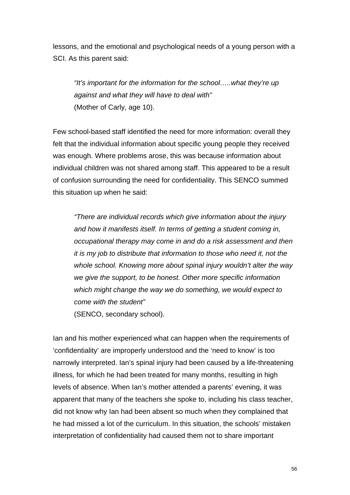lessons, and the emotional and psychological needs of a young person with a SCI. As this parent said:

*"It's important for the information for the school…..what they're up against and what they will have to deal with"* (Mother of Carly, age 10).

Few school-based staff identified the need for more information: overall they felt that the individual information about specific young people they received was enough. Where problems arose, this was because information about individual children was not shared among staff. This appeared to be a result of confusion surrounding the need for confidentiality. This SENCO summed this situation up when he said:

*"There are individual records which give information about the injury and how it manifests itself. In terms of getting a student coming in, occupational therapy may come in and do a risk assessment and then it is my job to distribute that information to those who need it, not the whole school. Knowing more about spinal injury wouldn't alter the way we give the support, to be honest. Other more specific information which might change the way we do something, we would expect to come with the student"*  (SENCO, secondary school).

Ian and his mother experienced what can happen when the requirements of 'confidentiality' are improperly understood and the 'need to know' is too narrowly interpreted. Ian's spinal injury had been caused by a life-threatening illness, for which he had been treated for many months, resulting in high levels of absence. When Ian's mother attended a parents' evening, it was apparent that many of the teachers she spoke to, including his class teacher, did not know why Ian had been absent so much when they complained that he had missed a lot of the curriculum. In this situation, the schools' mistaken interpretation of confidentiality had caused them not to share important

56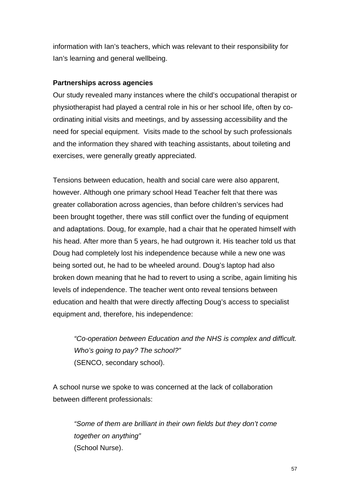information with Ian's teachers, which was relevant to their responsibility for Ian's learning and general wellbeing.

#### **Partnerships across agencies**

Our study revealed many instances where the child's occupational therapist or physiotherapist had played a central role in his or her school life, often by coordinating initial visits and meetings, and by assessing accessibility and the need for special equipment. Visits made to the school by such professionals and the information they shared with teaching assistants, about toileting and exercises, were generally greatly appreciated.

Tensions between education, health and social care were also apparent, however. Although one primary school Head Teacher felt that there was greater collaboration across agencies, than before children's services had been brought together, there was still conflict over the funding of equipment and adaptations. Doug, for example, had a chair that he operated himself with his head. After more than 5 years, he had outgrown it. His teacher told us that Doug had completely lost his independence because while a new one was being sorted out, he had to be wheeled around. Doug's laptop had also broken down meaning that he had to revert to using a scribe, again limiting his levels of independence. The teacher went onto reveal tensions between education and health that were directly affecting Doug's access to specialist equipment and, therefore, his independence:

*"Co-operation between Education and the NHS is complex and difficult. Who's going to pay? The school?"*  (SENCO, secondary school).

A school nurse we spoke to was concerned at the lack of collaboration between different professionals:

*"Some of them are brilliant in their own fields but they don't come together on anything"*  (School Nurse).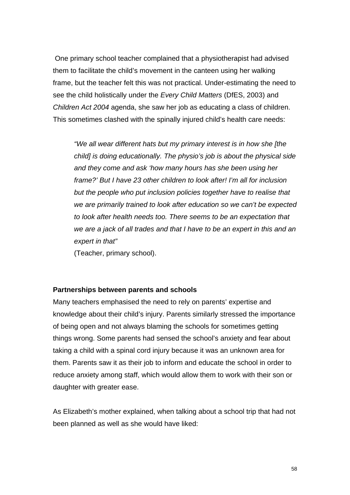One primary school teacher complained that a physiotherapist had advised them to facilitate the child's movement in the canteen using her walking frame, but the teacher felt this was not practical. Under-estimating the need to see the child holistically under the *Every Child Matters* (DfES, 2003) and *Children Act 2004* agenda, she saw her job as educating a class of children. This sometimes clashed with the spinally injured child's health care needs:

*"We all wear different hats but my primary interest is in how she [the child] is doing educationally. The physio's job is about the physical side and they come and ask 'how many hours has she been using her frame?' But I have 23 other children to look after! I'm all for inclusion but the people who put inclusion policies together have to realise that we are primarily trained to look after education so we can't be expected to look after health needs too. There seems to be an expectation that we are a jack of all trades and that I have to be an expert in this and an expert in that"* 

(Teacher, primary school).

#### **Partnerships between parents and schools**

Many teachers emphasised the need to rely on parents' expertise and knowledge about their child's injury. Parents similarly stressed the importance of being open and not always blaming the schools for sometimes getting things wrong. Some parents had sensed the school's anxiety and fear about taking a child with a spinal cord injury because it was an unknown area for them. Parents saw it as their job to inform and educate the school in order to reduce anxiety among staff, which would allow them to work with their son or daughter with greater ease.

As Elizabeth's mother explained, when talking about a school trip that had not been planned as well as she would have liked: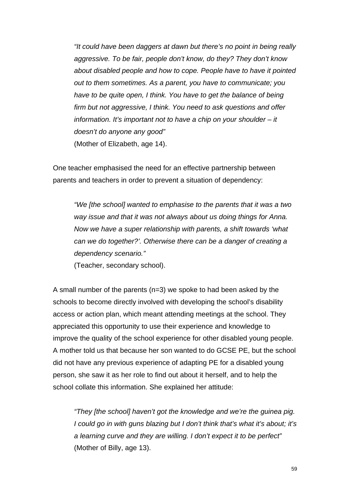*"It could have been daggers at dawn but there's no point in being really aggressive. To be fair, people don't know, do they? They don't know about disabled people and how to cope. People have to have it pointed out to them sometimes. As a parent, you have to communicate; you have to be quite open, I think. You have to get the balance of being firm but not aggressive, I think. You need to ask questions and offer information. It's important not to have a chip on your shoulder – it doesn't do anyone any good"*  (Mother of Elizabeth, age 14).

One teacher emphasised the need for an effective partnership between parents and teachers in order to prevent a situation of dependency:

*"We [the school] wanted to emphasise to the parents that it was a two way issue and that it was not always about us doing things for Anna. Now we have a super relationship with parents, a shift towards 'what can we do together?'. Otherwise there can be a danger of creating a dependency scenario."* 

(Teacher, secondary school).

A small number of the parents (n=3) we spoke to had been asked by the schools to become directly involved with developing the school's disability access or action plan, which meant attending meetings at the school. They appreciated this opportunity to use their experience and knowledge to improve the quality of the school experience for other disabled young people. A mother told us that because her son wanted to do GCSE PE, but the school did not have any previous experience of adapting PE for a disabled young person, she saw it as her role to find out about it herself, and to help the school collate this information. She explained her attitude:

*"They [the school] haven't got the knowledge and we're the guinea pig. I could go in with guns blazing but I don't think that's what it's about; it's a learning curve and they are willing. I don't expect it to be perfect"* (Mother of Billy, age 13).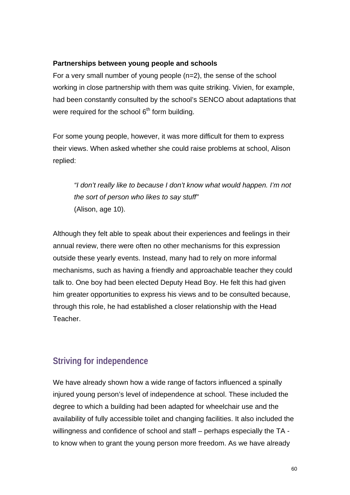#### **Partnerships between young people and schools**

For a very small number of young people (n=2), the sense of the school working in close partnership with them was quite striking. Vivien, for example, had been constantly consulted by the school's SENCO about adaptations that were required for the school  $6<sup>th</sup>$  form building.

For some young people, however, it was more difficult for them to express their views. When asked whether she could raise problems at school, Alison replied:

*"I don't really like to because I don't know what would happen. I'm not the sort of person who likes to say stuff"*  (Alison, age 10).

Although they felt able to speak about their experiences and feelings in their annual review, there were often no other mechanisms for this expression outside these yearly events. Instead, many had to rely on more informal mechanisms, such as having a friendly and approachable teacher they could talk to. One boy had been elected Deputy Head Boy. He felt this had given him greater opportunities to express his views and to be consulted because, through this role, he had established a closer relationship with the Head Teacher.

### **Striving for independence**

We have already shown how a wide range of factors influenced a spinally injured young person's level of independence at school. These included the degree to which a building had been adapted for wheelchair use and the availability of fully accessible toilet and changing facilities. It also included the willingness and confidence of school and staff – perhaps especially the TA to know when to grant the young person more freedom. As we have already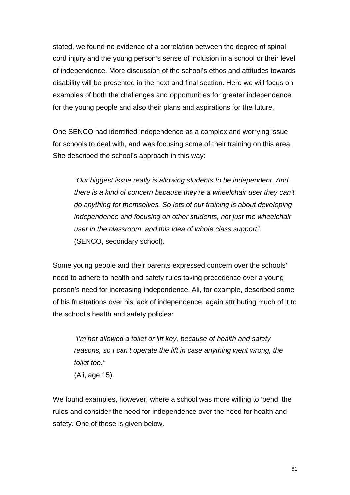stated, we found no evidence of a correlation between the degree of spinal cord injury and the young person's sense of inclusion in a school or their level of independence. More discussion of the school's ethos and attitudes towards disability will be presented in the next and final section. Here we will focus on examples of both the challenges and opportunities for greater independence for the young people and also their plans and aspirations for the future.

One SENCO had identified independence as a complex and worrying issue for schools to deal with, and was focusing some of their training on this area. She described the school's approach in this way:

*"Our biggest issue really is allowing students to be independent. And there is a kind of concern because they're a wheelchair user they can't do anything for themselves. So lots of our training is about developing independence and focusing on other students, not just the wheelchair user in the classroom, and this idea of whole class support".*  (SENCO, secondary school).

Some young people and their parents expressed concern over the schools' need to adhere to health and safety rules taking precedence over a young person's need for increasing independence. Ali, for example, described some of his frustrations over his lack of independence, again attributing much of it to the school's health and safety policies:

*"I'm not allowed a toilet or lift key, because of health and safety reasons, so I can't operate the lift in case anything went wrong, the toilet too."*  (Ali, age 15).

We found examples, however, where a school was more willing to 'bend' the rules and consider the need for independence over the need for health and safety. One of these is given below.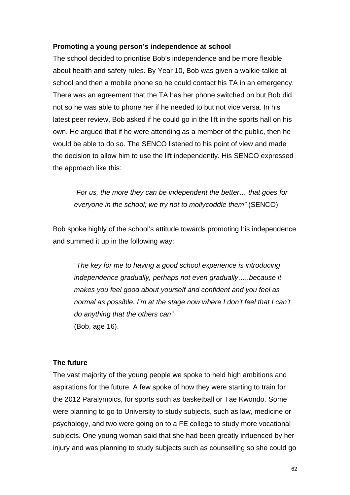#### **Promoting a young person's independence at school**

The school decided to prioritise Bob's independence and be more flexible about health and safety rules. By Year 10, Bob was given a walkie-talkie at school and then a mobile phone so he could contact his TA in an emergency. There was an agreement that the TA has her phone switched on but Bob did not so he was able to phone her if he needed to but not vice versa. In his latest peer review, Bob asked if he could go in the lift in the sports hall on his own. He argued that if he were attending as a member of the public, then he would be able to do so. The SENCO listened to his point of view and made the decision to allow him to use the lift independently. His SENCO expressed the approach like this:

*"For us, the more they can be independent the better….that goes for everyone in the school; we try not to mollycoddle them"* (SENCO)

Bob spoke highly of the school's attitude towards promoting his independence and summed it up in the following way:

*"The key for me to having a good school experience is introducing independence gradually, perhaps not even gradually…..because it makes you feel good about yourself and confident and you feel as normal as possible. I'm at the stage now where I don't feel that I can't do anything that the others can"*  (Bob, age 16).

#### **The future**

The vast majority of the young people we spoke to held high ambitions and aspirations for the future. A few spoke of how they were starting to train for the 2012 Paralympics, for sports such as basketball or Tae Kwondo. Some were planning to go to University to study subjects, such as law, medicine or psychology, and two were going on to a FE college to study more vocational subjects. One young woman said that she had been greatly influenced by her injury and was planning to study subjects such as counselling so she could go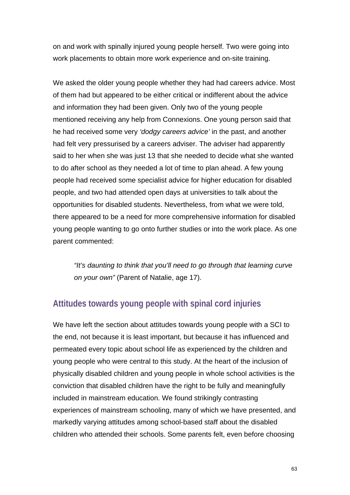on and work with spinally injured young people herself. Two were going into work placements to obtain more work experience and on-site training.

We asked the older young people whether they had had careers advice. Most of them had but appeared to be either critical or indifferent about the advice and information they had been given. Only two of the young people mentioned receiving any help from Connexions. One young person said that he had received some very *'dodgy careers advice'* in the past, and another had felt very pressurised by a careers adviser. The adviser had apparently said to her when she was just 13 that she needed to decide what she wanted to do after school as they needed a lot of time to plan ahead. A few young people had received some specialist advice for higher education for disabled people, and two had attended open days at universities to talk about the opportunities for disabled students. Nevertheless, from what we were told, there appeared to be a need for more comprehensive information for disabled young people wanting to go onto further studies or into the work place. As one parent commented:

*"It's daunting to think that you'll need to go through that learning curve on your own"* (Parent of Natalie, age 17).

### **Attitudes towards young people with spinal cord injuries**

We have left the section about attitudes towards young people with a SCI to the end, not because it is least important, but because it has influenced and permeated every topic about school life as experienced by the children and young people who were central to this study. At the heart of the inclusion of physically disabled children and young people in whole school activities is the conviction that disabled children have the right to be fully and meaningfully included in mainstream education. We found strikingly contrasting experiences of mainstream schooling, many of which we have presented, and markedly varying attitudes among school-based staff about the disabled children who attended their schools. Some parents felt, even before choosing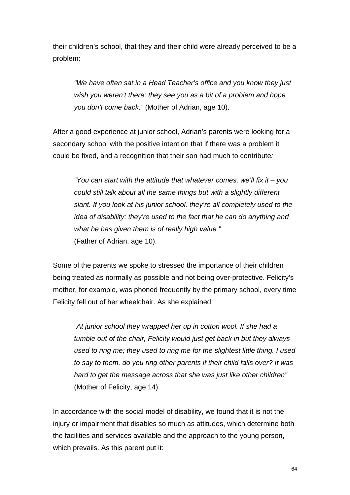their children's school, that they and their child were already perceived to be a problem:

*"We have often sat in a Head Teacher's office and you know they just wish you weren't there; they see you as a bit of a problem and hope you don't come back."* (Mother of Adrian, age 10).

After a good experience at junior school, Adrian's parents were looking for a secondary school with the positive intention that if there was a problem it could be fixed, and a recognition that their son had much to contribute*:* 

*"You can start with the attitude that whatever comes, we'll fix it – you could still talk about all the same things but with a slightly different slant. If you look at his junior school, they're all completely used to the idea of disability; they're used to the fact that he can do anything and what he has given them is of really high value "*  (Father of Adrian, age 10).

Some of the parents we spoke to stressed the importance of their children being treated as normally as possible and not being over-protective. Felicity's mother, for example, was phoned frequently by the primary school, every time Felicity fell out of her wheelchair. As she explained:

*"At junior school they wrapped her up in cotton wool. If she had a tumble out of the chair, Felicity would just get back in but they always used to ring me; they used to ring me for the slightest little thing. I used to say to them, do you ring other parents if their child falls over? It was hard to get the message across that she was just like other children"* (Mother of Felicity, age 14).

In accordance with the social model of disability, we found that it is not the injury or impairment that disables so much as attitudes, which determine both the facilities and services available and the approach to the young person, which prevails. As this parent put it: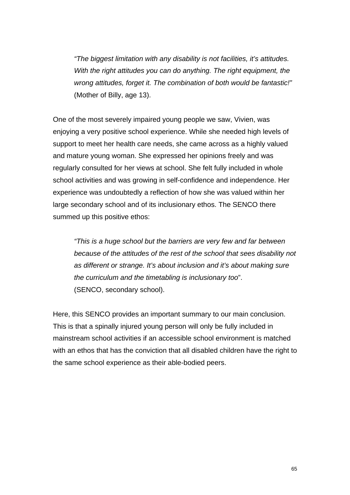*"The biggest limitation with any disability is not facilities, it's attitudes. With the right attitudes you can do anything. The right equipment, the wrong attitudes, forget it. The combination of both would be fantastic!"* (Mother of Billy, age 13).

One of the most severely impaired young people we saw, Vivien, was enjoying a very positive school experience. While she needed high levels of support to meet her health care needs, she came across as a highly valued and mature young woman. She expressed her opinions freely and was regularly consulted for her views at school. She felt fully included in whole school activities and was growing in self-confidence and independence. Her experience was undoubtedly a reflection of how she was valued within her large secondary school and of its inclusionary ethos. The SENCO there summed up this positive ethos:

*"This is a huge school but the barriers are very few and far between because of the attitudes of the rest of the school that sees disability not as different or strange. It's about inclusion and it's about making sure the curriculum and the timetabling is inclusionary too*". (SENCO, secondary school).

Here, this SENCO provides an important summary to our main conclusion. This is that a spinally injured young person will only be fully included in mainstream school activities if an accessible school environment is matched with an ethos that has the conviction that all disabled children have the right to the same school experience as their able-bodied peers.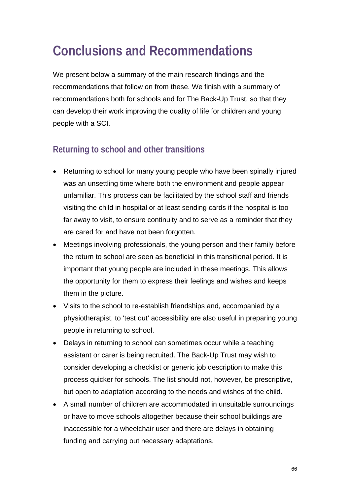# **Conclusions and Recommendations**

We present below a summary of the main research findings and the recommendations that follow on from these. We finish with a summary of recommendations both for schools and for The Back-Up Trust, so that they can develop their work improving the quality of life for children and young people with a SCI.

# **Returning to school and other transitions**

- Returning to school for many young people who have been spinally injured was an unsettling time where both the environment and people appear unfamiliar. This process can be facilitated by the school staff and friends visiting the child in hospital or at least sending cards if the hospital is too far away to visit, to ensure continuity and to serve as a reminder that they are cared for and have not been forgotten.
- Meetings involving professionals, the young person and their family before the return to school are seen as beneficial in this transitional period. It is important that young people are included in these meetings. This allows the opportunity for them to express their feelings and wishes and keeps them in the picture.
- Visits to the school to re-establish friendships and, accompanied by a physiotherapist, to 'test out' accessibility are also useful in preparing young people in returning to school.
- Delays in returning to school can sometimes occur while a teaching assistant or carer is being recruited. The Back-Up Trust may wish to consider developing a checklist or generic job description to make this process quicker for schools. The list should not, however, be prescriptive, but open to adaptation according to the needs and wishes of the child.
- A small number of children are accommodated in unsuitable surroundings or have to move schools altogether because their school buildings are inaccessible for a wheelchair user and there are delays in obtaining funding and carrying out necessary adaptations.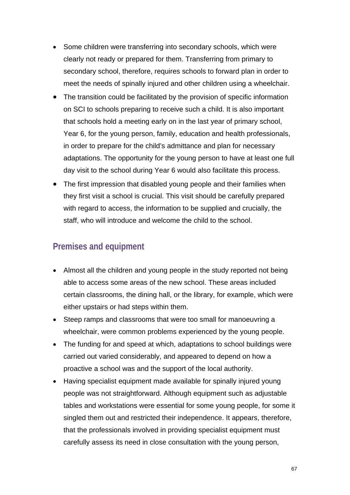- Some children were transferring into secondary schools, which were clearly not ready or prepared for them. Transferring from primary to secondary school, therefore, requires schools to forward plan in order to meet the needs of spinally injured and other children using a wheelchair.
- The transition could be facilitated by the provision of specific information on SCI to schools preparing to receive such a child. It is also important that schools hold a meeting early on in the last year of primary school, Year 6, for the young person, family, education and health professionals, in order to prepare for the child's admittance and plan for necessary adaptations. The opportunity for the young person to have at least one full day visit to the school during Year 6 would also facilitate this process.
- The first impression that disabled young people and their families when they first visit a school is crucial. This visit should be carefully prepared with regard to access, the information to be supplied and crucially, the staff, who will introduce and welcome the child to the school.

### **Premises and equipment**

- Almost all the children and young people in the study reported not being able to access some areas of the new school. These areas included certain classrooms, the dining hall, or the library, for example, which were either upstairs or had steps within them.
- Steep ramps and classrooms that were too small for manoeuvring a wheelchair, were common problems experienced by the young people.
- The funding for and speed at which, adaptations to school buildings were carried out varied considerably, and appeared to depend on how a proactive a school was and the support of the local authority.
- Having specialist equipment made available for spinally injured young people was not straightforward. Although equipment such as adjustable tables and workstations were essential for some young people, for some it singled them out and restricted their independence. It appears, therefore, that the professionals involved in providing specialist equipment must carefully assess its need in close consultation with the young person,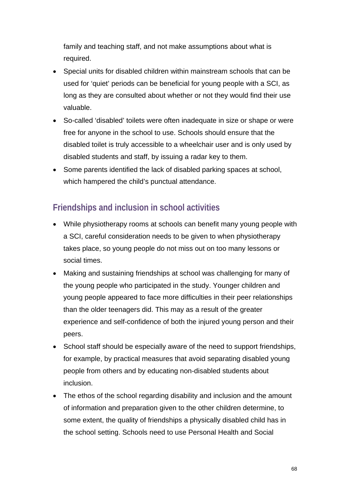family and teaching staff, and not make assumptions about what is required.

- Special units for disabled children within mainstream schools that can be used for 'quiet' periods can be beneficial for young people with a SCI, as long as they are consulted about whether or not they would find their use valuable.
- So-called 'disabled' toilets were often inadequate in size or shape or were free for anyone in the school to use. Schools should ensure that the disabled toilet is truly accessible to a wheelchair user and is only used by disabled students and staff, by issuing a radar key to them.
- Some parents identified the lack of disabled parking spaces at school, which hampered the child's punctual attendance.

# **Friendships and inclusion in school activities**

- While physiotherapy rooms at schools can benefit many young people with a SCI, careful consideration needs to be given to when physiotherapy takes place, so young people do not miss out on too many lessons or social times.
- Making and sustaining friendships at school was challenging for many of the young people who participated in the study. Younger children and young people appeared to face more difficulties in their peer relationships than the older teenagers did. This may as a result of the greater experience and self-confidence of both the injured young person and their peers.
- School staff should be especially aware of the need to support friendships, for example, by practical measures that avoid separating disabled young people from others and by educating non-disabled students about inclusion.
- The ethos of the school regarding disability and inclusion and the amount of information and preparation given to the other children determine, to some extent, the quality of friendships a physically disabled child has in the school setting. Schools need to use Personal Health and Social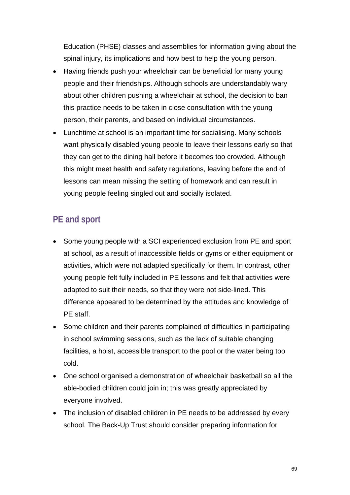Education (PHSE) classes and assemblies for information giving about the spinal injury, its implications and how best to help the young person.

- Having friends push your wheelchair can be beneficial for many young people and their friendships. Although schools are understandably wary about other children pushing a wheelchair at school, the decision to ban this practice needs to be taken in close consultation with the young person, their parents, and based on individual circumstances.
- Lunchtime at school is an important time for socialising. Many schools want physically disabled young people to leave their lessons early so that they can get to the dining hall before it becomes too crowded. Although this might meet health and safety regulations, leaving before the end of lessons can mean missing the setting of homework and can result in young people feeling singled out and socially isolated.

# **PE and sport**

- Some young people with a SCI experienced exclusion from PE and sport at school, as a result of inaccessible fields or gyms or either equipment or activities, which were not adapted specifically for them. In contrast, other young people felt fully included in PE lessons and felt that activities were adapted to suit their needs, so that they were not side-lined. This difference appeared to be determined by the attitudes and knowledge of PE staff.
- Some children and their parents complained of difficulties in participating in school swimming sessions, such as the lack of suitable changing facilities, a hoist, accessible transport to the pool or the water being too cold.
- One school organised a demonstration of wheelchair basketball so all the able-bodied children could join in; this was greatly appreciated by everyone involved.
- The inclusion of disabled children in PE needs to be addressed by every school. The Back-Up Trust should consider preparing information for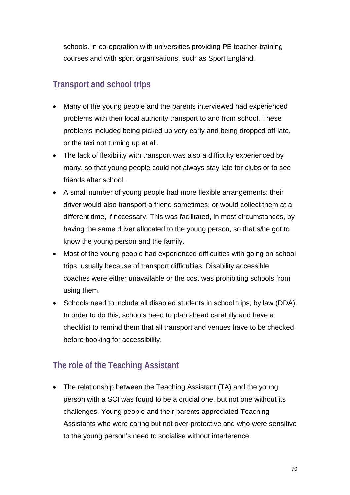schools, in co-operation with universities providing PE teacher-training courses and with sport organisations, such as Sport England.

# **Transport and school trips**

- Many of the young people and the parents interviewed had experienced problems with their local authority transport to and from school. These problems included being picked up very early and being dropped off late, or the taxi not turning up at all.
- The lack of flexibility with transport was also a difficulty experienced by many, so that young people could not always stay late for clubs or to see friends after school.
- A small number of young people had more flexible arrangements: their driver would also transport a friend sometimes, or would collect them at a different time, if necessary. This was facilitated, in most circumstances, by having the same driver allocated to the young person, so that s/he got to know the young person and the family.
- Most of the young people had experienced difficulties with going on school trips, usually because of transport difficulties. Disability accessible coaches were either unavailable or the cost was prohibiting schools from using them.
- Schools need to include all disabled students in school trips, by law (DDA). In order to do this, schools need to plan ahead carefully and have a checklist to remind them that all transport and venues have to be checked before booking for accessibility.

# **The role of the Teaching Assistant**

• The relationship between the Teaching Assistant (TA) and the young person with a SCI was found to be a crucial one, but not one without its challenges. Young people and their parents appreciated Teaching Assistants who were caring but not over-protective and who were sensitive to the young person's need to socialise without interference.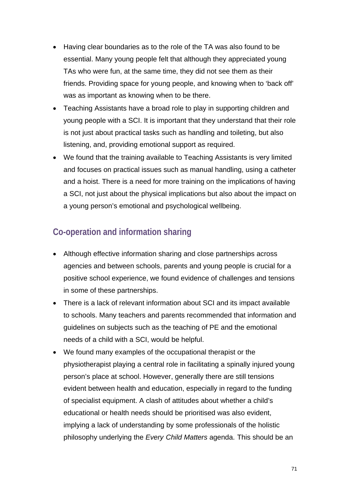- Having clear boundaries as to the role of the TA was also found to be essential. Many young people felt that although they appreciated young TAs who were fun, at the same time, they did not see them as their friends. Providing space for young people, and knowing when to 'back off' was as important as knowing when to be there.
- Teaching Assistants have a broad role to play in supporting children and young people with a SCI. It is important that they understand that their role is not just about practical tasks such as handling and toileting, but also listening, and, providing emotional support as required.
- We found that the training available to Teaching Assistants is very limited and focuses on practical issues such as manual handling, using a catheter and a hoist. There is a need for more training on the implications of having a SCI, not just about the physical implications but also about the impact on a young person's emotional and psychological wellbeing.

### **Co-operation and information sharing**

- Although effective information sharing and close partnerships across agencies and between schools, parents and young people is crucial for a positive school experience, we found evidence of challenges and tensions in some of these partnerships.
- There is a lack of relevant information about SCI and its impact available to schools. Many teachers and parents recommended that information and guidelines on subjects such as the teaching of PE and the emotional needs of a child with a SCI, would be helpful.
- We found many examples of the occupational therapist or the physiotherapist playing a central role in facilitating a spinally injured young person's place at school. However, generally there are still tensions evident between health and education, especially in regard to the funding of specialist equipment. A clash of attitudes about whether a child's educational or health needs should be prioritised was also evident, implying a lack of understanding by some professionals of the holistic philosophy underlying the *Every Child Matters* agenda. This should be an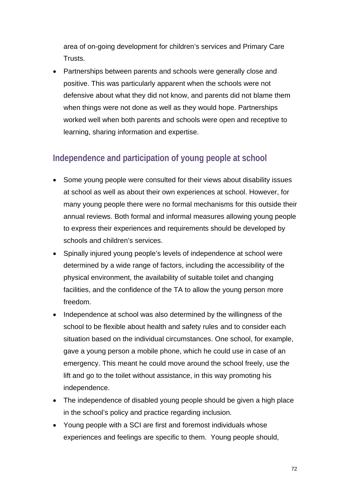area of on-going development for children's services and Primary Care Trusts.

• Partnerships between parents and schools were generally close and positive. This was particularly apparent when the schools were not defensive about what they did not know, and parents did not blame them when things were not done as well as they would hope. Partnerships worked well when both parents and schools were open and receptive to learning, sharing information and expertise.

# **Independence and participation of young people at school**

- Some young people were consulted for their views about disability issues at school as well as about their own experiences at school. However, for many young people there were no formal mechanisms for this outside their annual reviews. Both formal and informal measures allowing young people to express their experiences and requirements should be developed by schools and children's services.
- Spinally injured young people's levels of independence at school were determined by a wide range of factors, including the accessibility of the physical environment, the availability of suitable toilet and changing facilities, and the confidence of the TA to allow the young person more freedom.
- Independence at school was also determined by the willingness of the school to be flexible about health and safety rules and to consider each situation based on the individual circumstances. One school, for example, gave a young person a mobile phone, which he could use in case of an emergency. This meant he could move around the school freely, use the lift and go to the toilet without assistance, in this way promoting his independence.
- The independence of disabled young people should be given a high place in the school's policy and practice regarding inclusion.
- Young people with a SCI are first and foremost individuals whose experiences and feelings are specific to them. Young people should,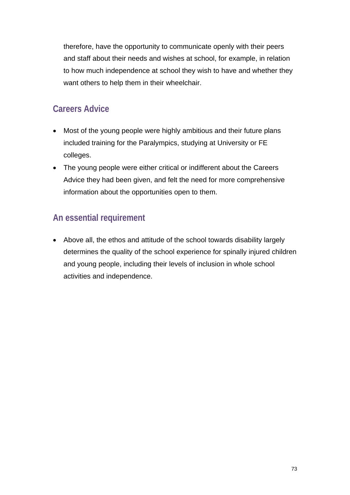therefore, have the opportunity to communicate openly with their peers and staff about their needs and wishes at school, for example, in relation to how much independence at school they wish to have and whether they want others to help them in their wheelchair.

## **Careers Advice**

- Most of the young people were highly ambitious and their future plans included training for the Paralympics, studying at University or FE colleges.
- The young people were either critical or indifferent about the Careers Advice they had been given, and felt the need for more comprehensive information about the opportunities open to them.

## **An essential requirement**

• Above all, the ethos and attitude of the school towards disability largely determines the quality of the school experience for spinally injured children and young people, including their levels of inclusion in whole school activities and independence.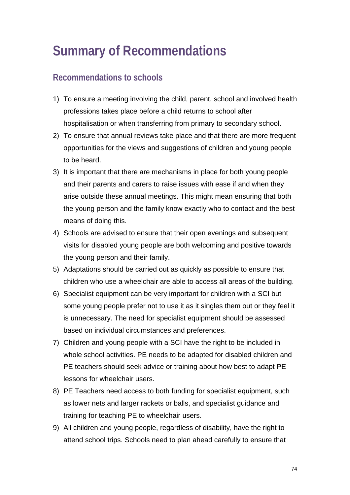## **Summary of Recommendations**

## **Recommendations to schools**

- 1) To ensure a meeting involving the child, parent, school and involved health professions takes place before a child returns to school after hospitalisation or when transferring from primary to secondary school.
- 2) To ensure that annual reviews take place and that there are more frequent opportunities for the views and suggestions of children and young people to be heard.
- 3) It is important that there are mechanisms in place for both young people and their parents and carers to raise issues with ease if and when they arise outside these annual meetings. This might mean ensuring that both the young person and the family know exactly who to contact and the best means of doing this.
- 4) Schools are advised to ensure that their open evenings and subsequent visits for disabled young people are both welcoming and positive towards the young person and their family.
- 5) Adaptations should be carried out as quickly as possible to ensure that children who use a wheelchair are able to access all areas of the building.
- 6) Specialist equipment can be very important for children with a SCI but some young people prefer not to use it as it singles them out or they feel it is unnecessary. The need for specialist equipment should be assessed based on individual circumstances and preferences.
- 7) Children and young people with a SCI have the right to be included in whole school activities. PE needs to be adapted for disabled children and PE teachers should seek advice or training about how best to adapt PE lessons for wheelchair users.
- 8) PE Teachers need access to both funding for specialist equipment, such as lower nets and larger rackets or balls, and specialist guidance and training for teaching PE to wheelchair users.
- 9) All children and young people, regardless of disability, have the right to attend school trips. Schools need to plan ahead carefully to ensure that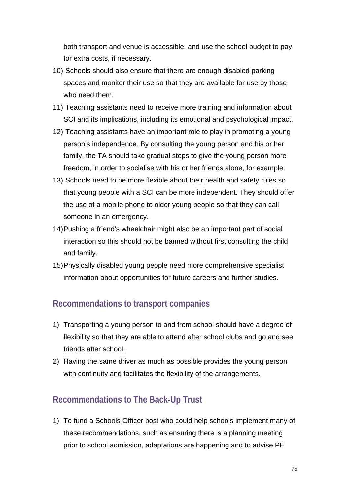both transport and venue is accessible, and use the school budget to pay for extra costs, if necessary.

- 10) Schools should also ensure that there are enough disabled parking spaces and monitor their use so that they are available for use by those who need them.
- 11) Teaching assistants need to receive more training and information about SCI and its implications, including its emotional and psychological impact.
- 12) Teaching assistants have an important role to play in promoting a young person's independence. By consulting the young person and his or her family, the TA should take gradual steps to give the young person more freedom, in order to socialise with his or her friends alone, for example.
- 13) Schools need to be more flexible about their health and safety rules so that young people with a SCI can be more independent. They should offer the use of a mobile phone to older young people so that they can call someone in an emergency.
- 14) Pushing a friend's wheelchair might also be an important part of social interaction so this should not be banned without first consulting the child and family.
- 15) Physically disabled young people need more comprehensive specialist information about opportunities for future careers and further studies.

### **Recommendations to transport companies**

- 1) Transporting a young person to and from school should have a degree of flexibility so that they are able to attend after school clubs and go and see friends after school.
- 2) Having the same driver as much as possible provides the young person with continuity and facilitates the flexibility of the arrangements.

## **Recommendations to The Back-Up Trust**

1) To fund a Schools Officer post who could help schools implement many of these recommendations, such as ensuring there is a planning meeting prior to school admission, adaptations are happening and to advise PE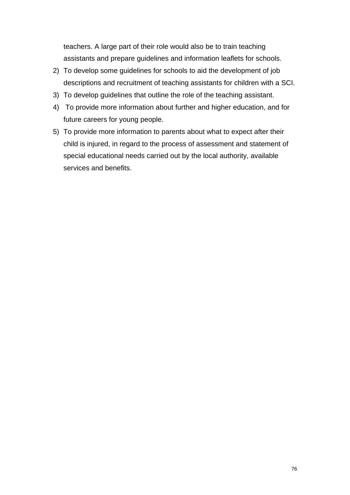teachers. A large part of their role would also be to train teaching assistants and prepare guidelines and information leaflets for schools.

- 2) To develop some guidelines for schools to aid the development of job descriptions and recruitment of teaching assistants for children with a SCI.
- 3) To develop guidelines that outline the role of the teaching assistant.
- 4) To provide more information about further and higher education, and for future careers for young people.
- 5) To provide more information to parents about what to expect after their child is injured, in regard to the process of assessment and statement of special educational needs carried out by the local authority, available services and benefits.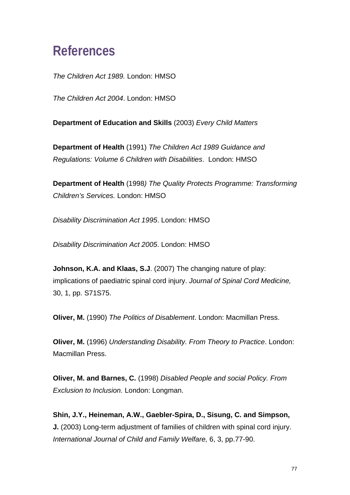## **References**

*The Children Act 1989.* London: HMSO

*The Children Act 2004*. London: HMSO

**Department of Education and Skills** (2003) *Every Child Matters* 

**Department of Health** (1991) *The Children Act 1989 Guidance and Regulations: Volume 6 Children with Disabilities*. London: HMSO

**Department of Health** (1998*) The Quality Protects Programme: Transforming Children's Services.* London: HMSO

*Disability Discrimination Act 1995*. London: HMSO

*Disability Discrimination Act 2005*. London: HMSO

**Johnson, K.A. and Klaas, S.J.** (2007) The changing nature of play: implications of paediatric spinal cord injury. *Journal of Spinal Cord Medicine,* 30, 1, pp. S71S75.

**Oliver, M.** (1990) *The Politics of Disablement*. London: Macmillan Press.

**Oliver, M.** (1996) *Understanding Disability. From Theory to Practice*. London: Macmillan Press.

**Oliver, M. and Barnes, C.** (1998) *Disabled People and social Policy. From Exclusion to Inclusion.* London: Longman.

**Shin, J.Y., Heineman, A.W., Gaebler-Spira, D., Sisung, C. and Simpson, J.** (2003) Long-term adjustment of families of children with spinal cord injury. *International Journal of Child and Family Welfare,* 6, 3, pp.77-90.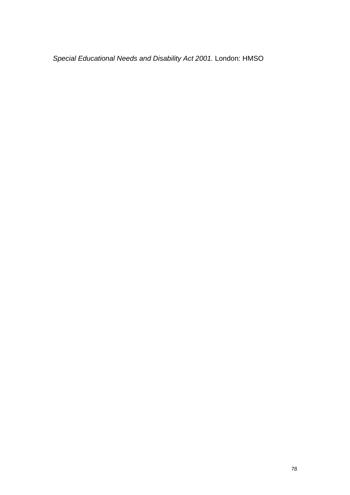*Special Educational Needs and Disability Act 2001.* London: HMSO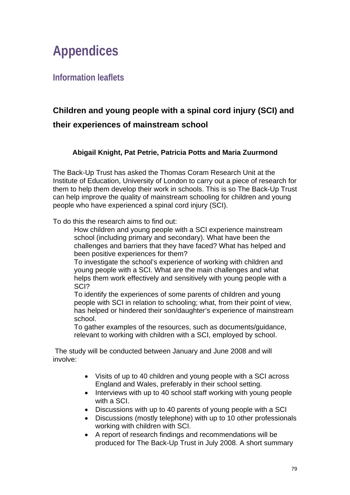## **Appendices**

**Information leaflets** 

## **Children and young people with a spinal cord injury (SCI) and their experiences of mainstream school**

### **Abigail Knight, Pat Petrie, Patricia Potts and Maria Zuurmond**

The Back-Up Trust has asked the Thomas Coram Research Unit at the Institute of Education, University of London to carry out a piece of research for them to help them develop their work in schools. This is so The Back-Up Trust can help improve the quality of mainstream schooling for children and young people who have experienced a spinal cord injury (SCI).

To do this the research aims to find out:

 How children and young people with a SCI experience mainstream school (including primary and secondary). What have been the challenges and barriers that they have faced? What has helped and been positive experiences for them?

 To investigate the school's experience of working with children and young people with a SCI. What are the main challenges and what helps them work effectively and sensitively with young people with a SCI?

 To identify the experiences of some parents of children and young people with SCI in relation to schooling; what, from their point of view, has helped or hindered their son/daughter's experience of mainstream school.

 To gather examples of the resources, such as documents/guidance, relevant to working with children with a SCI, employed by school.

 The study will be conducted between January and June 2008 and will involve:

- Visits of up to 40 children and young people with a SCI across England and Wales, preferably in their school setting.
- Interviews with up to 40 school staff working with young people with a SCI.
- Discussions with up to 40 parents of young people with a SCI
- Discussions (mostly telephone) with up to 10 other professionals working with children with SCI.
- A report of research findings and recommendations will be produced for The Back-Up Trust in July 2008. A short summary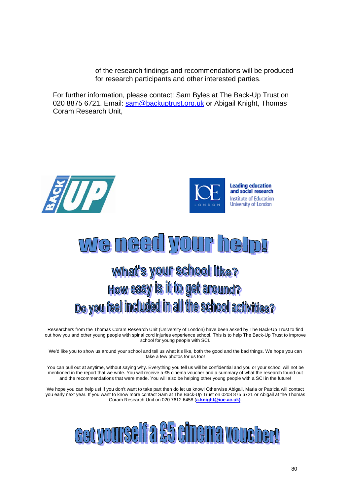of the research findings and recommendations will be produced for research participants and other interested parties.

For further information, please contact: Sam Byles at The Back-Up Trust on 020 8875 6721. Email: sam@backuptrust.org.uk or Abigail Knight, Thomas Coram Research Unit,





#### $\bigodot$  $\begin{bmatrix} 0 \\ 0 \end{bmatrix}$  $\begin{array}{c|c|c|c|c} \hline \multicolumn{1}{|c|}{\multicolumn{1}{c|c|}{\multicolumn{1}{c|c|}{\multicolumn{1}{c|c|}{\multicolumn{1}{c|c|}{\multicolumn{1}{c|c|}{\multicolumn{1}{c|c|}{\multicolumn{1}{c|c|}{\multicolumn{1}{c|c|}{\multicolumn{1}{c|c|}{\multicolumn{1}{c|c|}{\multicolumn{1}{c|c|}{\multicolumn{1}{c|c|}{\multicolumn{1}{c|c|}{\multicolumn{1}{c|c|}{\multicolumn{1}{c|c|}{\multicolumn{1}{c|c|$  $\begin{bmatrix} \phantom{-} \end{bmatrix}$

# **What's your school like?** How easy is it to get around? Do you feel included in all the school activities?

Researchers from the Thomas Coram Research Unit (University of London) have been asked by The Back-Up Trust to find out how you and other young people with spinal cord injuries experience school. This is to help The Back-Up Trust to improve school for young people with SCI.

We'd like you to show us around your school and tell us what it's like, both the good and the bad things. We hope you can take a few photos for us too!

You can pull out at anytime, without saying why. Everything you tell us will be confidential and you or your school will not be mentioned in the report that we write. You will receive a £5 cinema voucher and a summary of what the research found out and the recommendations that were made. You will also be helping other young people with a SCI in the future!

We hope you can help us! If you don't want to take part then do let us know! Otherwise Abigail, Maria or Patricia will contact you early next year. If you want to know more contact Sam at The Back-Up Trust on 0208 875 6721 or Abigail at the Thomas Coram Research Unit on 020 7612 6458 (**a.knight@ioe.ac.uk)**.

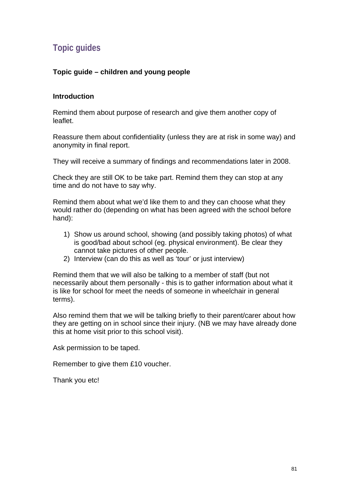## **Topic guides**

#### **Topic guide – children and young people**

#### **Introduction**

Remind them about purpose of research and give them another copy of leaflet.

Reassure them about confidentiality (unless they are at risk in some way) and anonymity in final report.

They will receive a summary of findings and recommendations later in 2008.

Check they are still OK to be take part. Remind them they can stop at any time and do not have to say why.

Remind them about what we'd like them to and they can choose what they would rather do (depending on what has been agreed with the school before hand):

- 1) Show us around school, showing (and possibly taking photos) of what is good/bad about school (eg. physical environment). Be clear they cannot take pictures of other people.
- 2) Interview (can do this as well as 'tour' or just interview)

Remind them that we will also be talking to a member of staff (but not necessarily about them personally - this is to gather information about what it is like for school for meet the needs of someone in wheelchair in general terms).

Also remind them that we will be talking briefly to their parent/carer about how they are getting on in school since their injury. (NB we may have already done this at home visit prior to this school visit).

Ask permission to be taped.

Remember to give them £10 voucher.

Thank you etc!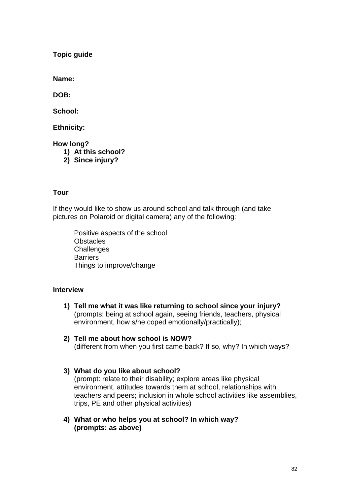**Topic guide** 

**Name:** 

**DOB:** 

**School:** 

**Ethnicity:** 

**How long?** 

- **1) At this school?**
- **2) Since injury?**

#### **Tour**

If they would like to show us around school and talk through (and take pictures on Polaroid or digital camera) any of the following:

 Positive aspects of the school **Obstacles Challenges Barriers** Things to improve/change

#### **Interview**

- **1) Tell me what it was like returning to school since your injury?**  (prompts: being at school again, seeing friends, teachers, physical environment, how s/he coped emotionally/practically);
- **2) Tell me about how school is NOW?**  (different from when you first came back? If so, why? In which ways?
- **3) What do you like about school?**  (prompt: relate to their disability; explore areas like physical environment, attitudes towards them at school, relationships with teachers and peers; inclusion in whole school activities like assemblies, trips, PE and other physical activities)
- **4) What or who helps you at school? In which way? (prompts: as above)**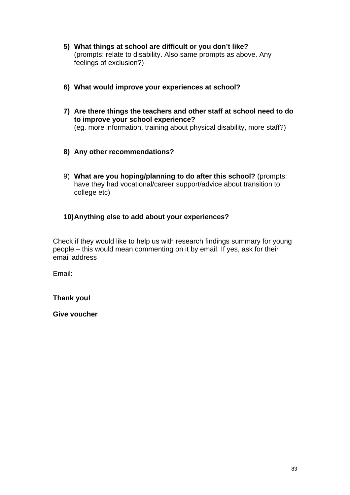- **5) What things at school are difficult or you don't like?**  (prompts: relate to disability. Also same prompts as above. Any feelings of exclusion?)
- **6) What would improve your experiences at school?**
- **7) Are there things the teachers and other staff at school need to do to improve your school experience?**  (eg. more information, training about physical disability, more staff?)
- **8) Any other recommendations?**
- 9) **What are you hoping/planning to do after this school?** (prompts: have they had vocational/career support/advice about transition to college etc)

#### **10) Anything else to add about your experiences?**

Check if they would like to help us with research findings summary for young people – this would mean commenting on it by email. If yes, ask for their email address

Email:

**Thank you!** 

**Give voucher**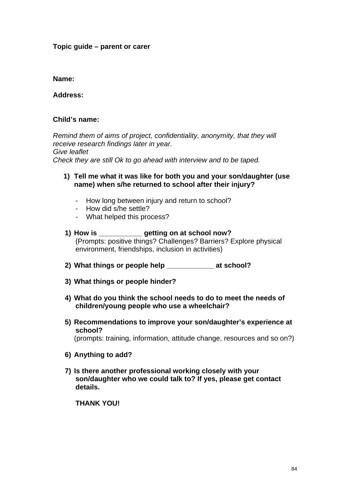#### **Topic guide – parent or carer**

#### **Name:**

**Address:** 

#### **Child's name:**

*Remind them of aims of project, confidentiality, anonymity, that they will receive research findings later in year. Give leaflet Check they are still Ok to go ahead with interview and to be taped.* 

#### **1) Tell me what it was like for both you and your son/daughter (use name) when s/he returned to school after their injury?**

- How long between injury and return to school?
- How did s/he settle?
- What helped this process?

#### **1) How is \_\_\_\_\_\_\_\_\_\_\_ getting on at school now?**  (Prompts: positive things? Challenges? Barriers? Explore physical environment, friendships, inclusion in activities)

- **2) What things or people help \_\_\_\_\_\_\_\_\_\_\_\_ at school?**
- **3) What things or people hinder?**
- **4) What do you think the school needs to do to meet the needs of children/young people who use a wheelchair?**
- **5) Recommendations to improve your son/daughter's experience at school?**  (prompts: training, information, attitude change, resources and so on?)
- **6) Anything to add?**
- **7) Is there another professional working closely with your son/daughter who we could talk to? If yes, please get contact details.**

**THANK YOU!**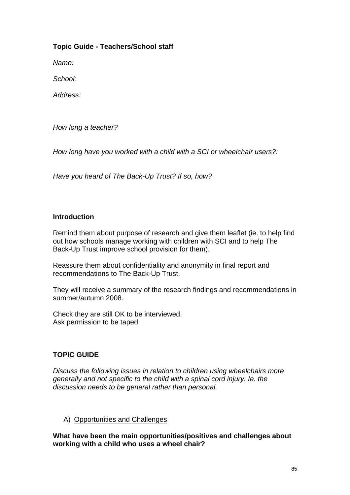#### **Topic Guide - Teachers/School staff**

*Name:* 

*School:* 

*Address:* 

*How long a teacher?* 

*How long have you worked with a child with a SCI or wheelchair users?:* 

*Have you heard of The Back-Up Trust? If so, how?* 

#### **Introduction**

Remind them about purpose of research and give them leaflet (ie. to help find out how schools manage working with children with SCI and to help The Back-Up Trust improve school provision for them).

Reassure them about confidentiality and anonymity in final report and recommendations to The Back-Up Trust.

They will receive a summary of the research findings and recommendations in summer/autumn 2008.

Check they are still OK to be interviewed. Ask permission to be taped.

#### **TOPIC GUIDE**

*Discuss the following issues in relation to children using wheelchairs more generally and not specific to the child with a spinal cord injury. Ie. the discussion needs to be general rather than personal.* 

A) Opportunities and Challenges

**What have been the main opportunities/positives and challenges about working with a child who uses a wheel chair?**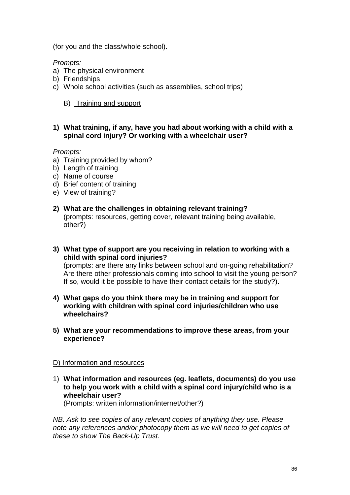(for you and the class/whole school).

*Prompts:* 

- a) The physical environment
- b) Friendships
- c) Whole school activities (such as assemblies, school trips)

B) Training and support

#### **1) What training, if any, have you had about working with a child with a spinal cord injury? Or working with a wheelchair user?**

#### *Prompts:*

- a) Training provided by whom?
- b) Length of training
- c) Name of course
- d) Brief content of training
- e) View of training?
- **2) What are the challenges in obtaining relevant training?**  (prompts: resources, getting cover, relevant training being available, other?)
- **3) What type of support are you receiving in relation to working with a child with spinal cord injuries?**  (prompts: are there any links between school and on-going rehabilitation? Are there other professionals coming into school to visit the young person?

If so, would it be possible to have their contact details for the study?).

- **4) What gaps do you think there may be in training and support for working with children with spinal cord injuries/children who use wheelchairs?**
- **5) What are your recommendations to improve these areas, from your experience?**

#### D) Information and resources

1) **What information and resources (eg. leaflets, documents) do you use to help you work with a child with a spinal cord injury/child who is a wheelchair user?** 

(Prompts: written information/internet/other?)

*NB. Ask to see copies of any relevant copies of anything they use. Please note any references and/or photocopy them as we will need to get copies of these to show The Back-Up Trust.*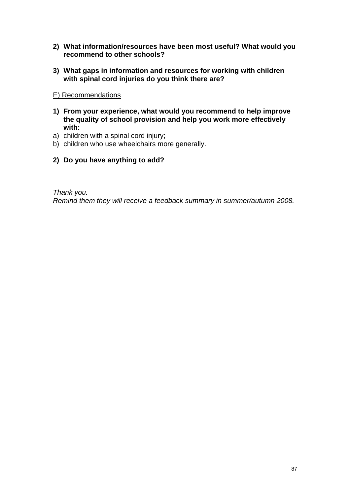- **2) What information/resources have been most useful? What would you recommend to other schools?**
- **3) What gaps in information and resources for working with children with spinal cord injuries do you think there are?**
- E) Recommendations
- **1) From your experience, what would you recommend to help improve the quality of school provision and help you work more effectively with:**
- a) children with a spinal cord injury;
- b) children who use wheelchairs more generally.
- **2) Do you have anything to add?**

*Thank you. Remind them they will receive a feedback summary in summer/autumn 2008.*